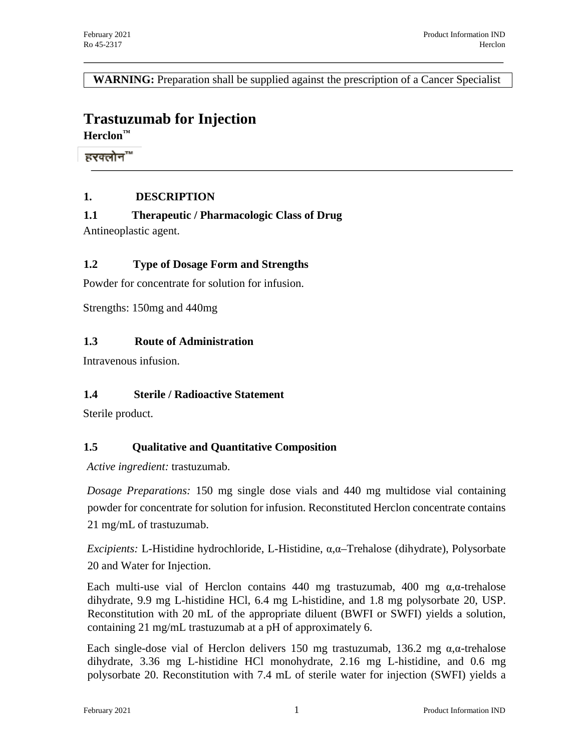**WARNING:** Preparation shall be supplied against the prescription of a Cancer Specialist

# **Trastuzumab for Injection**

**Herclon™**

हरक्लोन™

# **1. DESCRIPTION**

# **1.1 Therapeutic / Pharmacologic Class of Drug**

Antineoplastic agent.

# **1.2 Type of Dosage Form and Strengths**

Powder for concentrate for solution for infusion.

Strengths: 150mg and 440mg

# **1.3 Route of Administration**

Intravenous infusion.

# **1.4 Sterile / Radioactive Statement**

Sterile product.

# **1.5 Qualitative and Quantitative Composition**

*Active ingredient:* trastuzumab.

*Dosage Preparations:* 150 mg single dose vials and 440 mg multidose vial containing powder for concentrate for solution for infusion. Reconstituted Herclon concentrate contains 21 mg/mL of trastuzumab.

*Excipients:* L-Histidine hydrochloride, L-Histidine, α,α–Trehalose (dihydrate), Polysorbate 20 and Water for Injection.

Each multi-use vial of Herclon contains 440 mg trastuzumab, 400 mg  $\alpha$ , $\alpha$ -trehalose dihydrate, 9.9 mg L-histidine HCl, 6.4 mg L-histidine, and 1.8 mg polysorbate 20, USP. Reconstitution with 20 mL of the appropriate diluent (BWFI or SWFI) yields a solution, containing 21 mg/mL trastuzumab at a pH of approximately 6.

Each single-dose vial of Herclon delivers 150 mg trastuzumab, 136.2 mg  $\alpha$ , $\alpha$ -trehalose dihydrate, 3.36 mg L-histidine HCl monohydrate, 2.16 mg L-histidine, and 0.6 mg polysorbate 20. Reconstitution with 7.4 mL of sterile water for injection (SWFI) yields a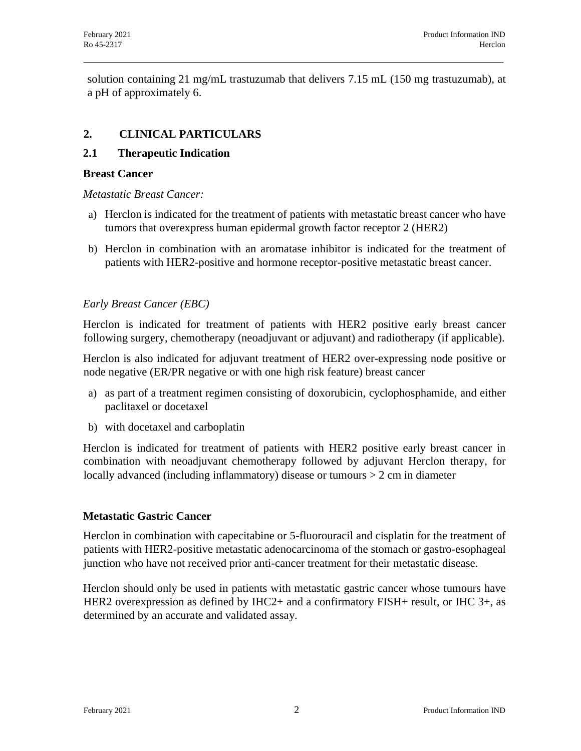solution containing 21 mg/mL trastuzumab that delivers 7.15 mL (150 mg trastuzumab), at a pH of approximately 6.

# **2. CLINICAL PARTICULARS**

# **2.1 Therapeutic Indication**

#### **Breast Cancer**

*Metastatic Breast Cancer:*

- a) Herclon is indicated for the treatment of patients with metastatic breast cancer who have tumors that overexpress human epidermal growth factor receptor 2 (HER2)
- b) Herclon in combination with an aromatase inhibitor is indicated for the treatment of patients with HER2-positive and hormone receptor-positive metastatic breast cancer.

# *Early Breast Cancer (EBC)*

Herclon is indicated for treatment of patients with HER2 positive early breast cancer following surgery, chemotherapy (neoadjuvant or adjuvant) and radiotherapy (if applicable).

Herclon is also indicated for adjuvant treatment of HER2 over-expressing node positive or node negative (ER/PR negative or with one high risk feature) breast cancer

- a) as part of a treatment regimen consisting of doxorubicin, cyclophosphamide, and either paclitaxel or docetaxel
- b) with docetaxel and carboplatin

Herclon is indicated for treatment of patients with HER2 positive early breast cancer in combination with neoadjuvant chemotherapy followed by adjuvant Herclon therapy, for locally advanced (including inflammatory) disease or tumours > 2 cm in diameter

# **Metastatic Gastric Cancer**

Herclon in combination with capecitabine or 5-fluorouracil and cisplatin for the treatment of patients with HER2-positive metastatic adenocarcinoma of the stomach or gastro-esophageal junction who have not received prior anti-cancer treatment for their metastatic disease.

Herclon should only be used in patients with metastatic gastric cancer whose tumours have HER2 overexpression as defined by IHC2+ and a confirmatory FISH+ result, or IHC 3+, as determined by an accurate and validated assay.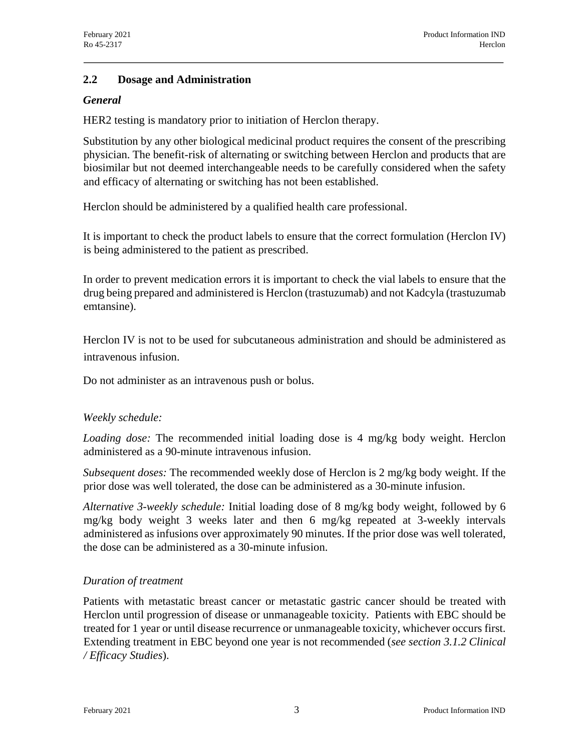# **2.2 Dosage and Administration**

# *General*

HER2 testing is mandatory prior to initiation of Herclon therapy.

Substitution by any other biological medicinal product requires the consent of the prescribing physician. The benefit-risk of alternating or switching between Herclon and products that are biosimilar but not deemed interchangeable needs to be carefully considered when the safety and efficacy of alternating or switching has not been established.

Herclon should be administered by a qualified health care professional.

It is important to check the product labels to ensure that the correct formulation (Herclon IV) is being administered to the patient as prescribed.

In order to prevent medication errors it is important to check the vial labels to ensure that the drug being prepared and administered is Herclon (trastuzumab) and not Kadcyla (trastuzumab emtansine).

Herclon IV is not to be used for subcutaneous administration and should be administered as intravenous infusion.

Do not administer as an intravenous push or bolus.

# *Weekly schedule:*

*Loading dose:* The recommended initial loading dose is 4 mg/kg body weight. Herclon administered as a 90-minute intravenous infusion.

*Subsequent doses:* The recommended weekly dose of Herclon is 2 mg/kg body weight. If the prior dose was well tolerated, the dose can be administered as a 30-minute infusion.

*Alternative 3-weekly schedule:* Initial loading dose of 8 mg/kg body weight, followed by 6 mg/kg body weight 3 weeks later and then 6 mg/kg repeated at 3-weekly intervals administered as infusions over approximately 90 minutes. If the prior dose was well tolerated, the dose can be administered as a 30-minute infusion.

# *Duration of treatment*

Patients with metastatic breast cancer or metastatic gastric cancer should be treated with Herclon until progression of disease or unmanageable toxicity. Patients with EBC should be treated for 1 year or until disease recurrence or unmanageable toxicity, whichever occurs first. Extending treatment in EBC beyond one year is not recommended (*see section 3.1.2 Clinical / Efficacy Studies*).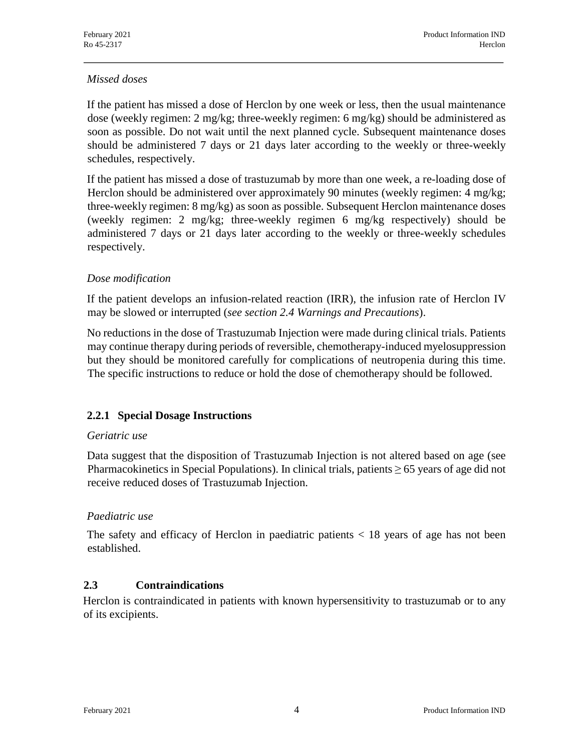# *Missed doses*

If the patient has missed a dose of Herclon by one week or less, then the usual maintenance dose (weekly regimen: 2 mg/kg; three-weekly regimen: 6 mg/kg) should be administered as soon as possible. Do not wait until the next planned cycle. Subsequent maintenance doses should be administered 7 days or 21 days later according to the weekly or three-weekly schedules, respectively.

If the patient has missed a dose of trastuzumab by more than one week, a re-loading dose of Herclon should be administered over approximately 90 minutes (weekly regimen: 4 mg/kg; three-weekly regimen: 8 mg/kg) as soon as possible. Subsequent Herclon maintenance doses (weekly regimen: 2 mg/kg; three-weekly regimen 6 mg/kg respectively) should be administered 7 days or 21 days later according to the weekly or three-weekly schedules respectively.

# *Dose modification*

If the patient develops an infusion-related reaction (IRR), the infusion rate of Herclon IV may be slowed or interrupted (*see section 2.4 Warnings and Precautions*).

No reductions in the dose of Trastuzumab Injection were made during clinical trials. Patients may continue therapy during periods of reversible, chemotherapy-induced myelosuppression but they should be monitored carefully for complications of neutropenia during this time. The specific instructions to reduce or hold the dose of chemotherapy should be followed.

# **2.2.1 Special Dosage Instructions**

# *Geriatric use*

Data suggest that the disposition of Trastuzumab Injection is not altered based on age (see Pharmacokinetics in Special Populations). In clinical trials, patients  $\geq 65$  years of age did not receive reduced doses of Trastuzumab Injection.

# *Paediatric use*

The safety and efficacy of Herclon in paediatric patients < 18 years of age has not been established.

# **2.3 Contraindications**

Herclon is contraindicated in patients with known hypersensitivity to trastuzumab or to any of its excipients.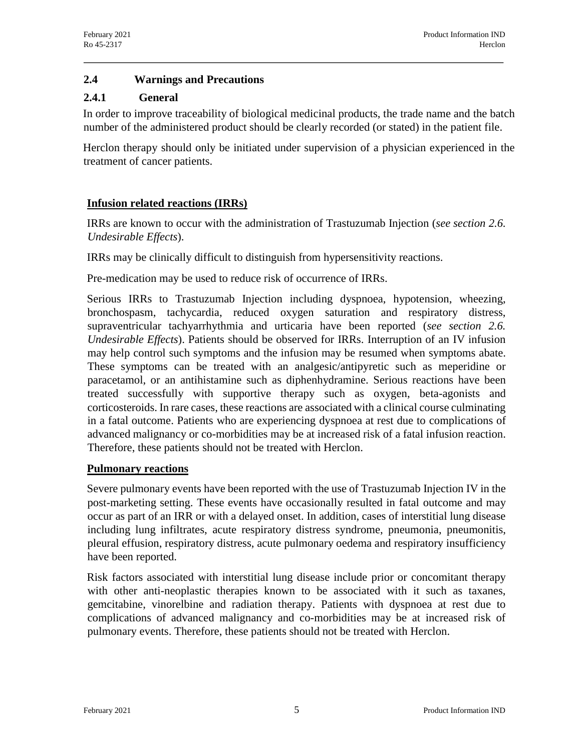# **2.4 Warnings and Precautions**

# **2.4.1 General**

In order to improve traceability of biological medicinal products, the trade name and the batch number of the administered product should be clearly recorded (or stated) in the patient file.

Herclon therapy should only be initiated under supervision of a physician experienced in the treatment of cancer patients.

# **Infusion related reactions (IRRs)**

IRRs are known to occur with the administration of Trastuzumab Injection (*see section 2.6. Undesirable Effects*).

IRRs may be clinically difficult to distinguish from hypersensitivity reactions.

Pre-medication may be used to reduce risk of occurrence of IRRs.

Serious IRRs to Trastuzumab Injection including dyspnoea, hypotension, wheezing, bronchospasm, tachycardia, reduced oxygen saturation and respiratory distress, supraventricular tachyarrhythmia and urticaria have been reported (*see section 2.6. Undesirable Effects*). Patients should be observed for IRRs. Interruption of an IV infusion may help control such symptoms and the infusion may be resumed when symptoms abate. These symptoms can be treated with an analgesic/antipyretic such as meperidine or paracetamol, or an antihistamine such as diphenhydramine. Serious reactions have been treated successfully with supportive therapy such as oxygen, beta-agonists and corticosteroids. In rare cases, these reactions are associated with a clinical course culminating in a fatal outcome. Patients who are experiencing dyspnoea at rest due to complications of advanced malignancy or co-morbidities may be at increased risk of a fatal infusion reaction. Therefore, these patients should not be treated with Herclon.

# **Pulmonary reactions**

Severe pulmonary events have been reported with the use of Trastuzumab Injection IV in the post-marketing setting. These events have occasionally resulted in fatal outcome and may occur as part of an IRR or with a delayed onset. In addition, cases of interstitial lung disease including lung infiltrates, acute respiratory distress syndrome, pneumonia, pneumonitis, pleural effusion, respiratory distress, acute pulmonary oedema and respiratory insufficiency have been reported.

Risk factors associated with interstitial lung disease include prior or concomitant therapy with other anti-neoplastic therapies known to be associated with it such as taxanes, gemcitabine, vinorelbine and radiation therapy. Patients with dyspnoea at rest due to complications of advanced malignancy and co-morbidities may be at increased risk of pulmonary events. Therefore, these patients should not be treated with Herclon.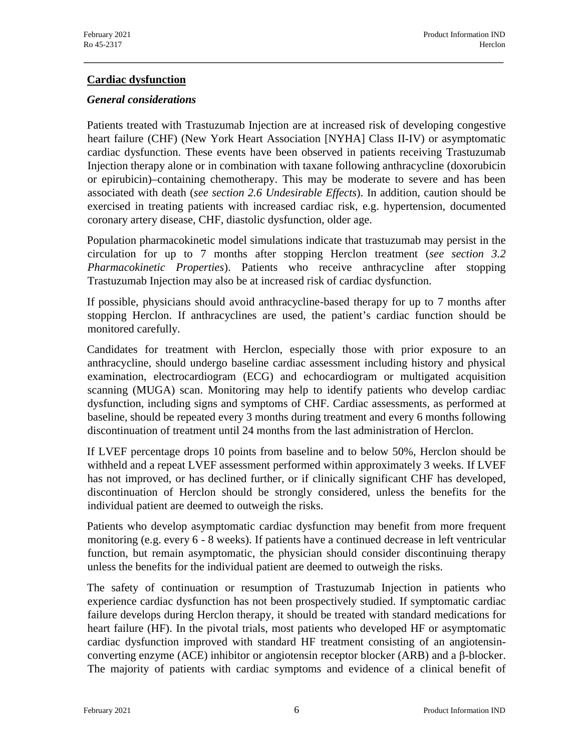# **Cardiac dysfunction**

#### *General considerations*

Patients treated with Trastuzumab Injection are at increased risk of developing congestive heart failure (CHF) (New York Heart Association [NYHA] Class II-IV) or asymptomatic cardiac dysfunction. These events have been observed in patients receiving Trastuzumab Injection therapy alone or in combination with taxane following anthracycline (doxorubicin or epirubicin)–containing chemotherapy. This may be moderate to severe and has been associated with death (*see section 2.6 Undesirable Effects*). In addition, caution should be exercised in treating patients with increased cardiac risk, e.g. hypertension, documented coronary artery disease, CHF, diastolic dysfunction, older age.

Population pharmacokinetic model simulations indicate that trastuzumab may persist in the circulation for up to 7 months after stopping Herclon treatment (*see section 3.2 Pharmacokinetic Properties*). Patients who receive anthracycline after stopping Trastuzumab Injection may also be at increased risk of cardiac dysfunction.

If possible, physicians should avoid anthracycline-based therapy for up to 7 months after stopping Herclon. If anthracyclines are used, the patient's cardiac function should be monitored carefully.

Candidates for treatment with Herclon, especially those with prior exposure to an anthracycline, should undergo baseline cardiac assessment including history and physical examination, electrocardiogram (ECG) and echocardiogram or multigated acquisition scanning (MUGA) scan. Monitoring may help to identify patients who develop cardiac dysfunction, including signs and symptoms of CHF. Cardiac assessments, as performed at baseline, should be repeated every 3 months during treatment and every 6 months following discontinuation of treatment until 24 months from the last administration of Herclon.

If LVEF percentage drops 10 points from baseline and to below 50%, Herclon should be withheld and a repeat LVEF assessment performed within approximately 3 weeks. If LVEF has not improved, or has declined further, or if clinically significant CHF has developed, discontinuation of Herclon should be strongly considered, unless the benefits for the individual patient are deemed to outweigh the risks.

Patients who develop asymptomatic cardiac dysfunction may benefit from more frequent monitoring (e.g. every 6 - 8 weeks). If patients have a continued decrease in left ventricular function, but remain asymptomatic, the physician should consider discontinuing therapy unless the benefits for the individual patient are deemed to outweigh the risks.

The safety of continuation or resumption of Trastuzumab Injection in patients who experience cardiac dysfunction has not been prospectively studied. If symptomatic cardiac failure develops during Herclon therapy, it should be treated with standard medications for heart failure (HF). In the pivotal trials, most patients who developed HF or asymptomatic cardiac dysfunction improved with standard HF treatment consisting of an angiotensinconverting enzyme (ACE) inhibitor or angiotensin receptor blocker (ARB) and a β-blocker. The majority of patients with cardiac symptoms and evidence of a clinical benefit of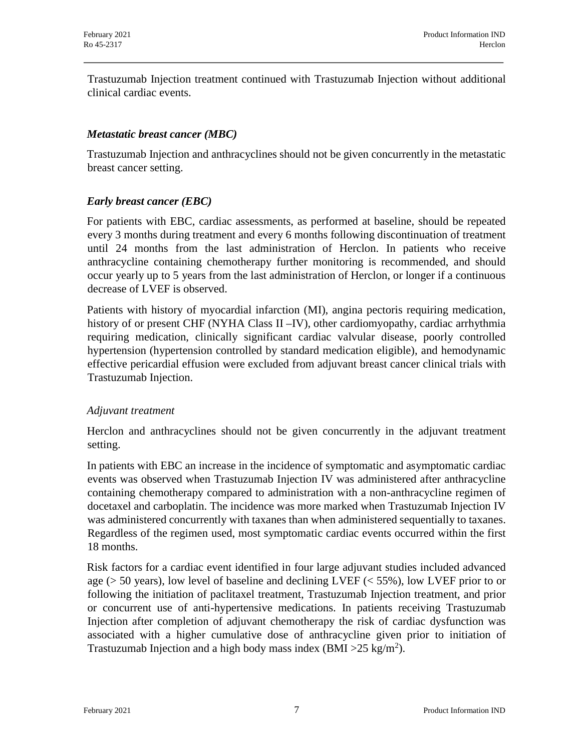Trastuzumab Injection treatment continued with Trastuzumab Injection without additional clinical cardiac events.

# *Metastatic breast cancer (MBC)*

Trastuzumab Injection and anthracyclines should not be given concurrently in the metastatic breast cancer setting.

# *Early breast cancer (EBC)*

For patients with EBC, cardiac assessments, as performed at baseline, should be repeated every 3 months during treatment and every 6 months following discontinuation of treatment until 24 months from the last administration of Herclon. In patients who receive anthracycline containing chemotherapy further monitoring is recommended, and should occur yearly up to 5 years from the last administration of Herclon, or longer if a continuous decrease of LVEF is observed.

Patients with history of myocardial infarction (MI), angina pectoris requiring medication, history of or present CHF (NYHA Class II –IV), other cardiomyopathy, cardiac arrhythmia requiring medication, clinically significant cardiac valvular disease, poorly controlled hypertension (hypertension controlled by standard medication eligible), and hemodynamic effective pericardial effusion were excluded from adjuvant breast cancer clinical trials with Trastuzumab Injection.

#### *Adjuvant treatment*

Herclon and anthracyclines should not be given concurrently in the adjuvant treatment setting.

In patients with EBC an increase in the incidence of symptomatic and asymptomatic cardiac events was observed when Trastuzumab Injection IV was administered after anthracycline containing chemotherapy compared to administration with a non-anthracycline regimen of docetaxel and carboplatin. The incidence was more marked when Trastuzumab Injection IV was administered concurrently with taxanes than when administered sequentially to taxanes. Regardless of the regimen used, most symptomatic cardiac events occurred within the first 18 months.

Risk factors for a cardiac event identified in four large adjuvant studies included advanced age ( $> 50$  years), low level of baseline and declining LVEF ( $< 55\%$ ), low LVEF prior to or following the initiation of paclitaxel treatment, Trastuzumab Injection treatment, and prior or concurrent use of anti-hypertensive medications. In patients receiving Trastuzumab Injection after completion of adjuvant chemotherapy the risk of cardiac dysfunction was associated with a higher cumulative dose of anthracycline given prior to initiation of Trastuzumab Injection and a high body mass index (BMI >  $25 \text{ kg/m}^2$ ).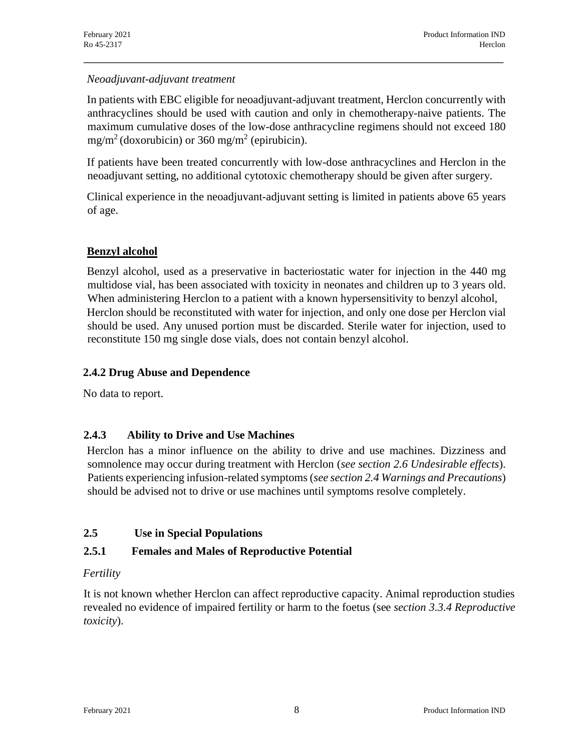# *Neoadjuvant-adjuvant treatment*

In patients with EBC eligible for neoadjuvant-adjuvant treatment, Herclon concurrently with anthracyclines should be used with caution and only in chemotherapy-naive patients. The maximum cumulative doses of the low-dose anthracycline regimens should not exceed 180 mg/m<sup>2</sup> (doxorubicin) or 360 mg/m<sup>2</sup> (epirubicin).

If patients have been treated concurrently with low-dose anthracyclines and Herclon in the neoadjuvant setting, no additional cytotoxic chemotherapy should be given after surgery.

Clinical experience in the neoadjuvant-adjuvant setting is limited in patients above 65 years of age.

# **Benzyl alcohol**

Benzyl alcohol, used as a preservative in bacteriostatic water for injection in the 440 mg multidose vial, has been associated with toxicity in neonates and children up to 3 years old. When administering Herclon to a patient with a known hypersensitivity to benzyl alcohol, Herclon should be reconstituted with water for injection, and only one dose per Herclon vial should be used. Any unused portion must be discarded. Sterile water for injection, used to reconstitute 150 mg single dose vials, does not contain benzyl alcohol.

# **2.4.2 Drug Abuse and Dependence**

No data to report.

# **2.4.3 Ability to Drive and Use Machines**

Herclon has a minor influence on the ability to drive and use machines. Dizziness and somnolence may occur during treatment with Herclon (*see section 2.6 Undesirable effects*). Patients experiencing infusion-related symptoms (*see section 2.4 Warnings and Precautions*) should be advised not to drive or use machines until symptoms resolve completely.

# **2.5 Use in Special Populations**

# **2.5.1 Females and Males of Reproductive Potential**

# *Fertility*

It is not known whether Herclon can affect reproductive capacity. Animal reproduction studies revealed no evidence of impaired fertility or harm to the foetus (see *section 3.3.4 Reproductive toxicity*).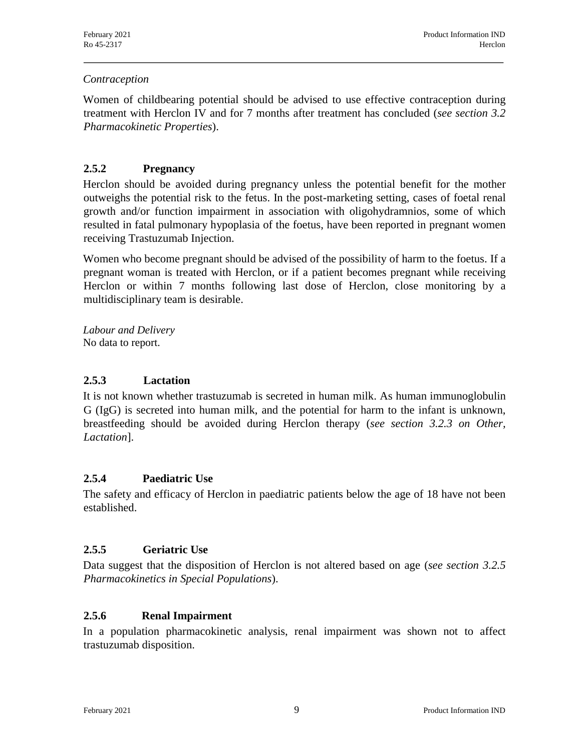# *Contraception*

Women of childbearing potential should be advised to use effective contraception during treatment with Herclon IV and for 7 months after treatment has concluded (*see section 3.2 Pharmacokinetic Properties*).

# **2.5.2 Pregnancy**

Herclon should be avoided during pregnancy unless the potential benefit for the mother outweighs the potential risk to the fetus. In the post-marketing setting, cases of foetal renal growth and/or function impairment in association with oligohydramnios, some of which resulted in fatal pulmonary hypoplasia of the foetus, have been reported in pregnant women receiving Trastuzumab Injection.

Women who become pregnant should be advised of the possibility of harm to the foetus. If a pregnant woman is treated with Herclon, or if a patient becomes pregnant while receiving Herclon or within 7 months following last dose of Herclon, close monitoring by a multidisciplinary team is desirable.

*Labour and Delivery* No data to report.

# **2.5.3 Lactation**

It is not known whether trastuzumab is secreted in human milk. As human immunoglobulin G (IgG) is secreted into human milk, and the potential for harm to the infant is unknown, breastfeeding should be avoided during Herclon therapy (*see section 3.2.3 on Other, Lactation*].

# **2.5.4 Paediatric Use**

The safety and efficacy of Herclon in paediatric patients below the age of 18 have not been established.

# **2.5.5 Geriatric Use**

Data suggest that the disposition of Herclon is not altered based on age (*see section 3.2.5 Pharmacokinetics in Special Populations*).

# **2.5.6 Renal Impairment**

In a population pharmacokinetic analysis, renal impairment was shown not to affect trastuzumab disposition.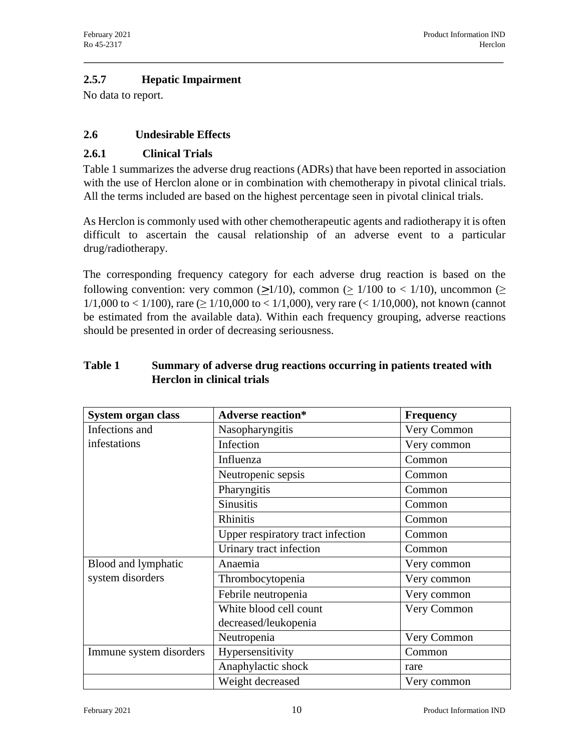# **2.5.7 Hepatic Impairment**

No data to report.

# **2.6 Undesirable Effects**

# **2.6.1 Clinical Trials**

Table 1 summarizes the adverse drug reactions (ADRs) that have been reported in association with the use of Herclon alone or in combination with chemotherapy in pivotal clinical trials. All the terms included are based on the highest percentage seen in pivotal clinical trials.

As Herclon is commonly used with other chemotherapeutic agents and radiotherapy it is often difficult to ascertain the causal relationship of an adverse event to a particular drug/radiotherapy.

The corresponding frequency category for each adverse drug reaction is based on the following convention: very common ( $\geq 1/10$ ), common ( $> 1/100$  to  $< 1/10$ ), uncommon ( $\geq$ 1/1,000 to < 1/100), rare ( $\geq$  1/10,000 to < 1/1,000), very rare (< 1/10,000), not known (cannot be estimated from the available data). Within each frequency grouping, adverse reactions should be presented in order of decreasing seriousness.

| <b>Table 1</b> | Summary of adverse drug reactions occurring in patients treated with |
|----------------|----------------------------------------------------------------------|
|                | <b>Herclon</b> in clinical trials                                    |

| System organ class      | <b>Adverse reaction*</b>          | <b>Frequency</b> |
|-------------------------|-----------------------------------|------------------|
| Infections and          | Nasopharyngitis                   | Very Common      |
| infestations            | Infection                         | Very common      |
|                         | Influenza                         | Common           |
|                         | Neutropenic sepsis                | Common           |
|                         | Pharyngitis                       | Common           |
|                         | <b>Sinusitis</b>                  | Common           |
|                         | Rhinitis                          | Common           |
|                         | Upper respiratory tract infection | Common           |
|                         | Urinary tract infection           | Common           |
| Blood and lymphatic     | Anaemia                           | Very common      |
| system disorders        | Thrombocytopenia                  | Very common      |
|                         | Febrile neutropenia               | Very common      |
|                         | White blood cell count            | Very Common      |
|                         | decreased/leukopenia              |                  |
|                         | Neutropenia                       | Very Common      |
| Immune system disorders | Hypersensitivity                  | Common           |
|                         | Anaphylactic shock                | rare             |
|                         | Weight decreased                  | Very common      |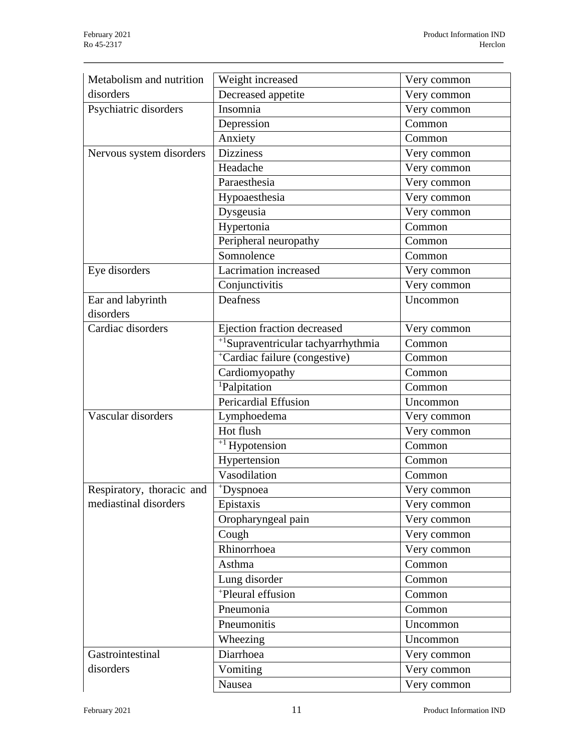| Metabolism and nutrition       | Weight increased                               | Very common |  |
|--------------------------------|------------------------------------------------|-------------|--|
| disorders                      | Decreased appetite                             | Very common |  |
| Psychiatric disorders          | Insomnia                                       | Very common |  |
|                                | Depression                                     | Common      |  |
|                                | Anxiety                                        | Common      |  |
| Nervous system disorders       | <b>Dizziness</b>                               | Very common |  |
|                                | Headache                                       | Very common |  |
|                                | Paraesthesia                                   | Very common |  |
|                                | Hypoaesthesia                                  | Very common |  |
|                                | Dysgeusia                                      | Very common |  |
|                                | Hypertonia                                     | Common      |  |
|                                | Peripheral neuropathy                          | Common      |  |
|                                | Somnolence                                     | Common      |  |
| Eye disorders                  | Lacrimation increased                          | Very common |  |
|                                | Conjunctivitis                                 | Very common |  |
| Ear and labyrinth<br>disorders | Deafness                                       | Uncommon    |  |
| Cardiac disorders              | Ejection fraction decreased                    | Very common |  |
|                                | <sup>+1</sup> Supraventricular tachyarrhythmia | Common      |  |
|                                | <sup>+</sup> Cardiac failure (congestive)      | Common      |  |
|                                | Cardiomyopathy                                 | Common      |  |
|                                | <sup>1</sup> Palpitation                       | Common      |  |
|                                | Pericardial Effusion                           | Uncommon    |  |
| Vascular disorders             | Lymphoedema                                    | Very common |  |
|                                | Hot flush                                      | Very common |  |
|                                | $+1$ Hypotension                               | Common      |  |
|                                | Hypertension                                   | Common      |  |
|                                | Vasodilation                                   | Common      |  |
| Respiratory, thoracic and      | *Dyspnoea                                      | Very common |  |
| mediastinal disorders          | Epistaxis                                      | Very common |  |
|                                | Oropharyngeal pain                             | Very common |  |
|                                | Cough                                          | Very common |  |
|                                | Rhinorrhoea                                    | Very common |  |
|                                | Asthma                                         | Common      |  |
|                                | Lung disorder                                  | Common      |  |
|                                | <sup>+</sup> Pleural effusion                  | Common      |  |
|                                | Pneumonia                                      | Common      |  |
|                                | Pneumonitis<br>Uncommon                        |             |  |
|                                | Wheezing                                       | Uncommon    |  |
| Gastrointestinal               | Diarrhoea                                      | Very common |  |
| disorders                      | Vomiting<br>Very common                        |             |  |
|                                | Nausea<br>Very common                          |             |  |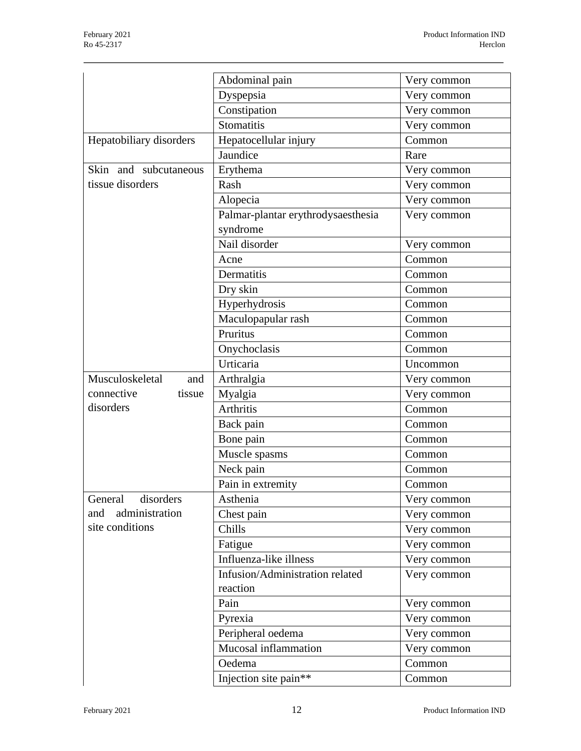|                         | Abdominal pain                     | Very common |
|-------------------------|------------------------------------|-------------|
|                         | Dyspepsia                          | Very common |
|                         | Constipation                       | Very common |
|                         | Stomatitis                         | Very common |
| Hepatobiliary disorders | Hepatocellular injury              | Common      |
|                         | Jaundice                           | Rare        |
| Skin and subcutaneous   | Erythema                           | Very common |
| tissue disorders        | Rash                               | Very common |
|                         | Alopecia                           | Very common |
|                         | Palmar-plantar erythrodysaesthesia | Very common |
|                         | syndrome                           |             |
|                         | Nail disorder                      | Very common |
|                         | Acne                               | Common      |
|                         | Dermatitis                         | Common      |
|                         | Dry skin                           | Common      |
|                         | Hyperhydrosis                      | Common      |
|                         | Maculopapular rash                 | Common      |
|                         | Pruritus                           | Common      |
|                         | Onychoclasis                       | Common      |
|                         | Urticaria                          | Uncommon    |
| Musculoskeletal<br>and  | Arthralgia                         | Very common |
| connective<br>tissue    | Myalgia                            | Very common |
| disorders               | Arthritis                          | Common      |
|                         | Back pain                          | Common      |
|                         | Bone pain                          | Common      |
|                         | Muscle spasms                      | Common      |
|                         | Neck pain                          | Common      |
|                         | Pain in extremity                  | Common      |
| General<br>disorders    | Asthenia                           | Very common |
| administration<br>and   | Chest pain                         | Very common |
| site conditions         | Chills                             | Very common |
|                         | Fatigue                            | Very common |
|                         | Influenza-like illness             | Very common |
|                         | Infusion/Administration related    | Very common |
|                         | reaction                           |             |
|                         | Pain                               | Very common |
|                         | Pyrexia                            | Very common |
|                         | Peripheral oedema                  | Very common |
|                         | Mucosal inflammation               | Very common |
|                         | Oedema                             | Common      |
|                         | Injection site pain**              | Common      |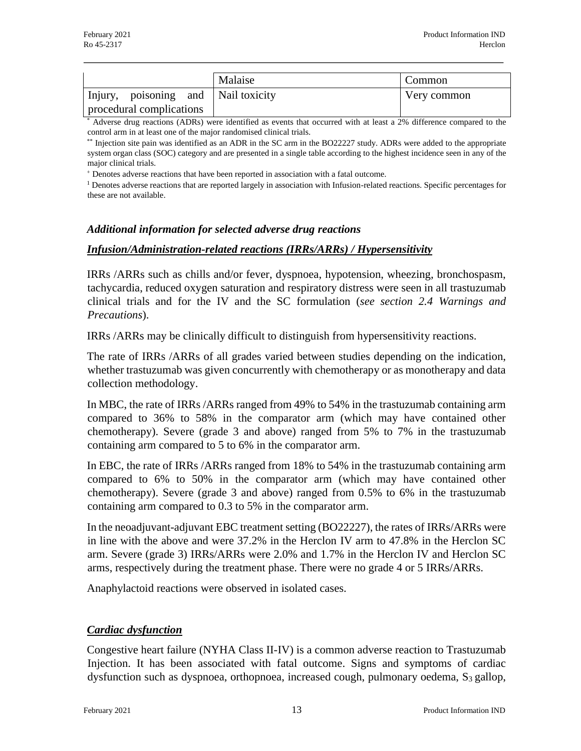|                                     | Malaise | Common      |
|-------------------------------------|---------|-------------|
| Injury, poisoning and Nail toxicity |         | Very common |
| procedural complications            |         |             |

Adverse drug reactions (ADRs) were identified as events that occurred with at least a 2% difference compared to the control arm in at least one of the major randomised clinical trials.

\*\* Injection site pain was identified as an ADR in the SC arm in the BO22227 study. ADRs were added to the appropriate system organ class (SOC) category and are presented in a single table according to the highest incidence seen in any of the major clinical trials.

<sup>+</sup> Denotes adverse reactions that have been reported in association with a fatal outcome.

<sup>1</sup> Denotes adverse reactions that are reported largely in association with Infusion-related reactions. Specific percentages for these are not available.

#### *Additional information for selected adverse drug reactions*

#### *Infusion/Administration-related reactions (IRRs/ARRs) / Hypersensitivity*

IRRs /ARRs such as chills and/or fever, dyspnoea, hypotension, wheezing, bronchospasm, tachycardia, reduced oxygen saturation and respiratory distress were seen in all trastuzumab clinical trials and for the IV and the SC formulation (*see section 2.4 Warnings and Precautions*).

IRRs /ARRs may be clinically difficult to distinguish from hypersensitivity reactions.

The rate of IRRs /ARRs of all grades varied between studies depending on the indication, whether trastuzumab was given concurrently with chemotherapy or as monotherapy and data collection methodology.

In MBC, the rate of IRRs /ARRs ranged from 49% to 54% in the trastuzumab containing arm compared to 36% to 58% in the comparator arm (which may have contained other chemotherapy). Severe (grade 3 and above) ranged from 5% to 7% in the trastuzumab containing arm compared to 5 to 6% in the comparator arm.

In EBC, the rate of IRRs /ARRs ranged from 18% to 54% in the trastuzumab containing arm compared to 6% to 50% in the comparator arm (which may have contained other chemotherapy). Severe (grade 3 and above) ranged from 0.5% to 6% in the trastuzumab containing arm compared to 0.3 to 5% in the comparator arm.

In the neoadjuvant-adjuvant EBC treatment setting (BO22227), the rates of IRRs/ARRs were in line with the above and were 37.2% in the Herclon IV arm to 47.8% in the Herclon SC arm. Severe (grade 3) IRRs/ARRs were 2.0% and 1.7% in the Herclon IV and Herclon SC arms, respectively during the treatment phase. There were no grade 4 or 5 IRRs/ARRs.

Anaphylactoid reactions were observed in isolated cases.

#### *Cardiac dysfunction*

Congestive heart failure (NYHA Class II-IV) is a common adverse reaction to Trastuzumab Injection. It has been associated with fatal outcome. Signs and symptoms of cardiac dysfunction such as dyspnoea, orthopnoea, increased cough, pulmonary oedema, S<sub>3</sub> gallop,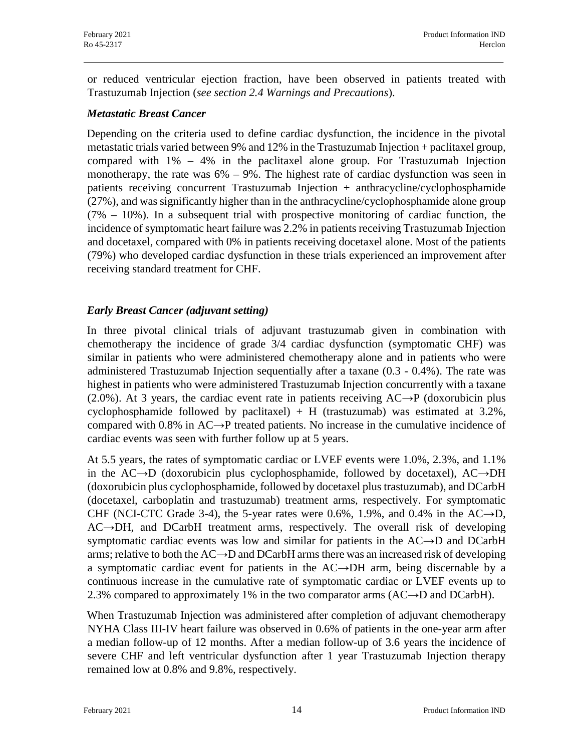or reduced ventricular ejection fraction, have been observed in patients treated with Trastuzumab Injection (*see section 2.4 Warnings and Precautions*).

#### *Metastatic Breast Cancer*

Depending on the criteria used to define cardiac dysfunction, the incidence in the pivotal metastatic trials varied between 9% and 12% in the Trastuzumab Injection + paclitaxel group, compared with 1% – 4% in the paclitaxel alone group. For Trastuzumab Injection monotherapy, the rate was  $6\% - 9\%$ . The highest rate of cardiac dysfunction was seen in patients receiving concurrent Trastuzumab Injection + anthracycline/cyclophosphamide (27%), and was significantly higher than in the anthracycline/cyclophosphamide alone group  $(7\% - 10\%)$ . In a subsequent trial with prospective monitoring of cardiac function, the incidence of symptomatic heart failure was 2.2% in patients receiving Trastuzumab Injection and docetaxel, compared with 0% in patients receiving docetaxel alone. Most of the patients (79%) who developed cardiac dysfunction in these trials experienced an improvement after receiving standard treatment for CHF.

# *Early Breast Cancer (adjuvant setting)*

In three pivotal clinical trials of adjuvant trastuzumab given in combination with chemotherapy the incidence of grade 3/4 cardiac dysfunction (symptomatic CHF) was similar in patients who were administered chemotherapy alone and in patients who were administered Trastuzumab Injection sequentially after a taxane (0.3 - 0.4%). The rate was highest in patients who were administered Trastuzumab Injection concurrently with a taxane (2.0%). At 3 years, the cardiac event rate in patients receiving  $AC\rightarrow P$  (doxorubicin plus cyclophosphamide followed by paclitaxel) + H (trastuzumab) was estimated at  $3.2\%$ , compared with 0.8% in AC→P treated patients. No increase in the cumulative incidence of cardiac events was seen with further follow up at 5 years.

At 5.5 years, the rates of symptomatic cardiac or LVEF events were 1.0%, 2.3%, and 1.1% in the AC→D (doxorubicin plus cyclophosphamide, followed by docetaxel), AC→DH (doxorubicin plus cyclophosphamide, followed by docetaxel plus trastuzumab), and DCarbH (docetaxel, carboplatin and trastuzumab) treatment arms, respectively. For symptomatic CHF (NCI-CTC Grade 3-4), the 5-year rates were 0.6%, 1.9%, and 0.4% in the  $AC\rightarrow D$ , AC→DH, and DCarbH treatment arms, respectively. The overall risk of developing symptomatic cardiac events was low and similar for patients in the AC→D and DCarbH arms; relative to both the  $AC \rightarrow D$  and  $DCarbH$  arms there was an increased risk of developing a symptomatic cardiac event for patients in the AC→DH arm, being discernable by a continuous increase in the cumulative rate of symptomatic cardiac or LVEF events up to 2.3% compared to approximately 1% in the two comparator arms (AC→D and DCarbH).

When Trastuzumab Injection was administered after completion of adjuvant chemotherapy NYHA Class III-IV heart failure was observed in 0.6% of patients in the one-year arm after a median follow-up of 12 months. After a median follow-up of 3.6 years the incidence of severe CHF and left ventricular dysfunction after 1 year Trastuzumab Injection therapy remained low at 0.8% and 9.8%, respectively.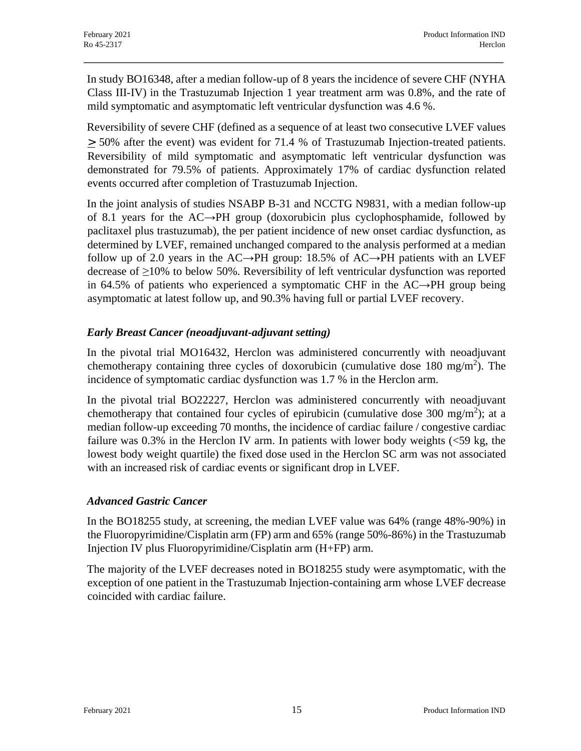In study BO16348, after a median follow-up of 8 years the incidence of severe CHF (NYHA Class III-IV) in the Trastuzumab Injection 1 year treatment arm was 0.8%, and the rate of mild symptomatic and asymptomatic left ventricular dysfunction was 4.6 %.

Reversibility of severe CHF (defined as a sequence of at least two consecutive LVEF values > 50% after the event) was evident for 71.4 % of Trastuzumab Injection-treated patients. Reversibility of mild symptomatic and asymptomatic left ventricular dysfunction was demonstrated for 79.5% of patients. Approximately 17% of cardiac dysfunction related events occurred after completion of Trastuzumab Injection.

In the joint analysis of studies NSABP B-31 and NCCTG N9831, with a median follow-up of 8.1 years for the AC→PH group (doxorubicin plus cyclophosphamide, followed by paclitaxel plus trastuzumab), the per patient incidence of new onset cardiac dysfunction, as determined by LVEF, remained unchanged compared to the analysis performed at a median follow up of 2.0 years in the AC→PH group: 18.5% of AC→PH patients with an LVEF decrease of ≥10% to below 50%. Reversibility of left ventricular dysfunction was reported in 64.5% of patients who experienced a symptomatic CHF in the AC→PH group being asymptomatic at latest follow up, and 90.3% having full or partial LVEF recovery.

# *Early Breast Cancer (neoadjuvant-adjuvant setting)*

In the pivotal trial MO16432, Herclon was administered concurrently with neoadjuvant chemotherapy containing three cycles of doxorubicin (cumulative dose  $180 \text{ mg/m}^2$ ). The incidence of symptomatic cardiac dysfunction was 1.7 % in the Herclon arm.

In the pivotal trial BO22227, Herclon was administered concurrently with neoadjuvant chemotherapy that contained four cycles of epirubicin (cumulative dose 300 mg/m<sup>2</sup>); at a median follow-up exceeding 70 months, the incidence of cardiac failure / congestive cardiac failure was  $0.3\%$  in the Herclon IV arm. In patients with lower body weights  $( $59 \text{ kg}$ , the$ lowest body weight quartile) the fixed dose used in the Herclon SC arm was not associated with an increased risk of cardiac events or significant drop in LVEF.

# *Advanced Gastric Cancer*

In the BO18255 study, at screening, the median LVEF value was 64% (range 48%-90%) in the Fluoropyrimidine/Cisplatin arm (FP) arm and 65% (range 50%-86%) in the Trastuzumab Injection IV plus Fluoropyrimidine/Cisplatin arm (H+FP) arm.

The majority of the LVEF decreases noted in BO18255 study were asymptomatic, with the exception of one patient in the Trastuzumab Injection-containing arm whose LVEF decrease coincided with cardiac failure.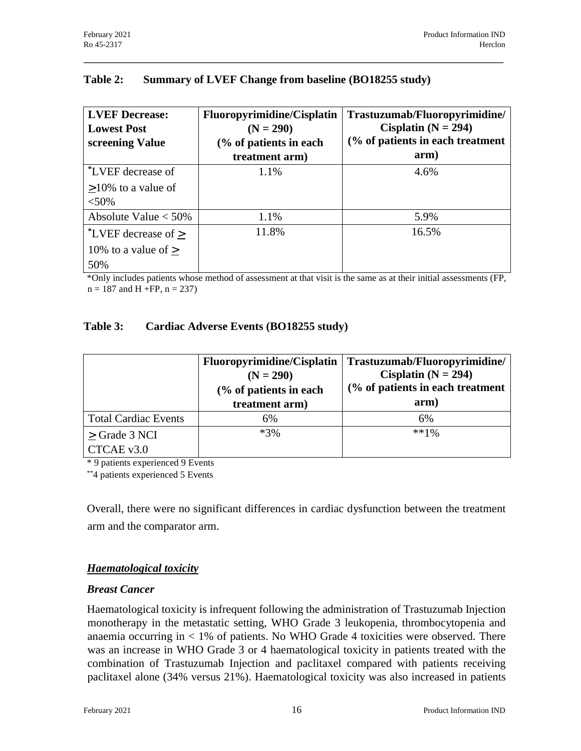# **Table 2: Summary of LVEF Change from baseline (BO18255 study)**

| <b>LVEF Decrease:</b><br><b>Lowest Post</b><br>screening Value | <b>Fluoropyrimidine/Cisplatin</b><br>$(N = 290)$<br>(% of patients in each) | Trastuzumab/Fluoropyrimidine/<br>Cisplatin ( $N = 294$ )<br>(% of patients in each treatment |
|----------------------------------------------------------------|-----------------------------------------------------------------------------|----------------------------------------------------------------------------------------------|
|                                                                | treatment arm)                                                              | arm)                                                                                         |
| *LVEF decrease of                                              | 1.1%                                                                        | 4.6%                                                                                         |
| $>10\%$ to a value of                                          |                                                                             |                                                                                              |
| $< 50\%$                                                       |                                                                             |                                                                                              |
| Absolute Value $<$ 50%                                         | 1.1%                                                                        | 5.9%                                                                                         |
| $^*$ LVEF decrease of $>$                                      | 11.8%                                                                       | 16.5%                                                                                        |
| 10% to a value of $>$<br>50%                                   |                                                                             |                                                                                              |

\*Only includes patients whose method of assessment at that visit is the same as at their initial assessments (FP,  $n = 187$  and H +FP,  $n = 237$ )

# **Table 3: Cardiac Adverse Events (BO18255 study)**

|                             | <b>Fluoropyrimidine/Cisplatin</b><br>$(N = 290)$<br>(% of patients in each)<br>treatment arm) | Trastuzumab/Fluoropyrimidine/<br>Cisplatin ( $N = 294$ )<br>(% of patients in each treatment<br>arm) |
|-----------------------------|-----------------------------------------------------------------------------------------------|------------------------------------------------------------------------------------------------------|
| <b>Total Cardiac Events</b> | 6%                                                                                            | 6%                                                                                                   |
| > Grade 3 NCI<br>CTCAE v3.0 | $*3\%$                                                                                        | $**1%$                                                                                               |

\* 9 patients experienced 9 Events

\*\*4 patients experienced 5 Events

Overall, there were no significant differences in cardiac dysfunction between the treatment arm and the comparator arm.

# *Haematological toxicity*

#### *Breast Cancer*

Haematological toxicity is infrequent following the administration of Trastuzumab Injection monotherapy in the metastatic setting, WHO Grade 3 leukopenia, thrombocytopenia and anaemia occurring in  $< 1\%$  of patients. No WHO Grade 4 toxicities were observed. There was an increase in WHO Grade 3 or 4 haematological toxicity in patients treated with the combination of Trastuzumab Injection and paclitaxel compared with patients receiving paclitaxel alone (34% versus 21%). Haematological toxicity was also increased in patients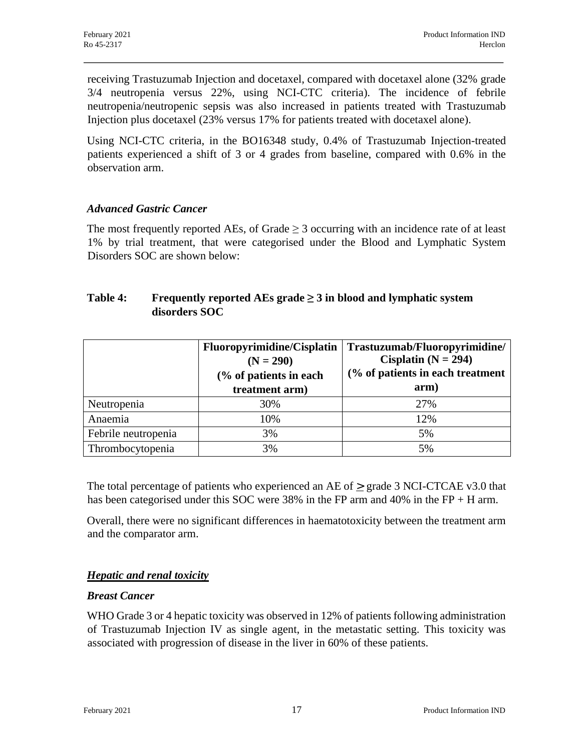receiving Trastuzumab Injection and docetaxel, compared with docetaxel alone (32% grade 3/4 neutropenia versus 22%, using NCI-CTC criteria). The incidence of febrile neutropenia/neutropenic sepsis was also increased in patients treated with Trastuzumab Injection plus docetaxel (23% versus 17% for patients treated with docetaxel alone).

Using NCI-CTC criteria, in the BO16348 study, 0.4% of Trastuzumab Injection-treated patients experienced a shift of 3 or 4 grades from baseline, compared with 0.6% in the observation arm.

# *Advanced Gastric Cancer*

The most frequently reported AEs, of Grade  $\geq$  3 occurring with an incidence rate of at least 1% by trial treatment, that were categorised under the Blood and Lymphatic System Disorders SOC are shown below:

# **Table 4: Frequently reported AEs grade ≥ 3 in blood and lymphatic system disorders SOC**

|                     | <b>Fluoropyrimidine/Cisplatin</b><br>$(N = 290)$<br>(% of patients in each<br>treatment arm) | Trastuzumab/Fluoropyrimidine/<br>Cisplatin ( $N = 294$ )<br>(% of patients in each treatment<br>arm) |
|---------------------|----------------------------------------------------------------------------------------------|------------------------------------------------------------------------------------------------------|
| Neutropenia         | 30%                                                                                          | 27%                                                                                                  |
| Anaemia             | 10%                                                                                          | 12%                                                                                                  |
| Febrile neutropenia | 3%                                                                                           | 5%                                                                                                   |
| Thrombocytopenia    | 3%                                                                                           | 5%                                                                                                   |

The total percentage of patients who experienced an AE of  $\geq$  grade 3 NCI-CTCAE v3.0 that has been categorised under this SOC were 38% in the FP arm and 40% in the FP + H arm.

Overall, there were no significant differences in haematotoxicity between the treatment arm and the comparator arm.

#### *Hepatic and renal toxicity*

#### *Breast Cancer*

WHO Grade 3 or 4 hepatic toxicity was observed in 12% of patients following administration of Trastuzumab Injection IV as single agent, in the metastatic setting. This toxicity was associated with progression of disease in the liver in 60% of these patients.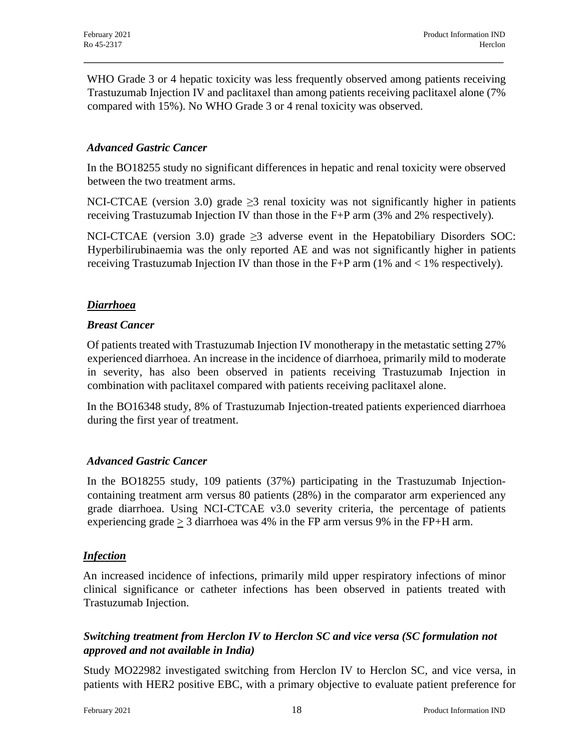WHO Grade 3 or 4 hepatic toxicity was less frequently observed among patients receiving Trastuzumab Injection IV and paclitaxel than among patients receiving paclitaxel alone (7% compared with 15%). No WHO Grade 3 or 4 renal toxicity was observed.

#### *Advanced Gastric Cancer*

In the BO18255 study no significant differences in hepatic and renal toxicity were observed between the two treatment arms.

NCI-CTCAE (version 3.0) grade  $\geq$ 3 renal toxicity was not significantly higher in patients receiving Trastuzumab Injection IV than those in the F+P arm (3% and 2% respectively).

NCI-CTCAE (version 3.0) grade  $\geq 3$  adverse event in the Hepatobiliary Disorders SOC: Hyperbilirubinaemia was the only reported AE and was not significantly higher in patients receiving Trastuzumab Injection IV than those in the  $F+P$  arm (1% and  $< 1\%$  respectively).

#### *Diarrhoea*

#### *Breast Cancer*

Of patients treated with Trastuzumab Injection IV monotherapy in the metastatic setting 27% experienced diarrhoea. An increase in the incidence of diarrhoea, primarily mild to moderate in severity, has also been observed in patients receiving Trastuzumab Injection in combination with paclitaxel compared with patients receiving paclitaxel alone.

In the BO16348 study, 8% of Trastuzumab Injection-treated patients experienced diarrhoea during the first year of treatment.

# *Advanced Gastric Cancer*

In the BO18255 study, 109 patients (37%) participating in the Trastuzumab Injectioncontaining treatment arm versus 80 patients (28%) in the comparator arm experienced any grade diarrhoea. Using NCI-CTCAE v3.0 severity criteria, the percentage of patients experiencing grade  $> 3$  diarrhoea was 4% in the FP arm versus 9% in the FP+H arm.

# *Infection*

An increased incidence of infections, primarily mild upper respiratory infections of minor clinical significance or catheter infections has been observed in patients treated with Trastuzumab Injection.

# *Switching treatment from Herclon IV to Herclon SC and vice versa (SC formulation not approved and not available in India)*

Study MO22982 investigated switching from Herclon IV to Herclon SC, and vice versa, in patients with HER2 positive EBC, with a primary objective to evaluate patient preference for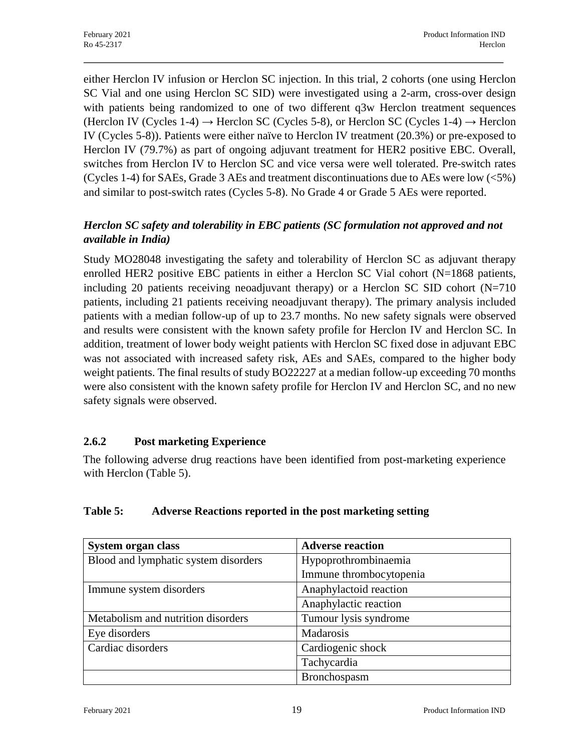either Herclon IV infusion or Herclon SC injection. In this trial, 2 cohorts (one using Herclon SC Vial and one using Herclon SC SID) were investigated using a 2-arm, cross-over design with patients being randomized to one of two different q3w Herclon treatment sequences (Herclon IV (Cycles 1-4)  $\rightarrow$  Herclon SC (Cycles 5-8), or Herclon SC (Cycles 1-4)  $\rightarrow$  Herclon IV (Cycles 5-8)). Patients were either naïve to Herclon IV treatment (20.3%) or pre-exposed to Herclon IV (79.7%) as part of ongoing adjuvant treatment for HER2 positive EBC. Overall, switches from Herclon IV to Herclon SC and vice versa were well tolerated. Pre-switch rates (Cycles 1-4) for SAEs, Grade 3 AEs and treatment discontinuations due to AEs were low (<5%) and similar to post-switch rates (Cycles 5-8). No Grade 4 or Grade 5 AEs were reported.

# *Herclon SC safety and tolerability in EBC patients (SC formulation not approved and not available in India)*

Study MO28048 investigating the safety and tolerability of Herclon SC as adjuvant therapy enrolled HER2 positive EBC patients in either a Herclon SC Vial cohort (N=1868 patients, including 20 patients receiving neoadjuvant therapy) or a Herclon SC SID cohort (N=710 patients, including 21 patients receiving neoadjuvant therapy). The primary analysis included patients with a median follow-up of up to 23.7 months. No new safety signals were observed and results were consistent with the known safety profile for Herclon IV and Herclon SC. In addition, treatment of lower body weight patients with Herclon SC fixed dose in adjuvant EBC was not associated with increased safety risk, AEs and SAEs, compared to the higher body weight patients. The final results of study BO22227 at a median follow-up exceeding 70 months were also consistent with the known safety profile for Herclon IV and Herclon SC, and no new safety signals were observed.

# **2.6.2 Post marketing Experience**

The following adverse drug reactions have been identified from post-marketing experience with Herclon (Table 5).

# **Table 5: Adverse Reactions reported in the post marketing setting**

| <b>System organ class</b>            | <b>Adverse reaction</b> |  |
|--------------------------------------|-------------------------|--|
| Blood and lymphatic system disorders | Hypoprothrombinaemia    |  |
|                                      | Immune thrombocytopenia |  |
| Immune system disorders              | Anaphylactoid reaction  |  |
|                                      | Anaphylactic reaction   |  |
| Metabolism and nutrition disorders   | Tumour lysis syndrome   |  |
| Eye disorders                        | Madarosis               |  |
| Cardiac disorders                    | Cardiogenic shock       |  |
|                                      | Tachycardia             |  |
|                                      | Bronchospasm            |  |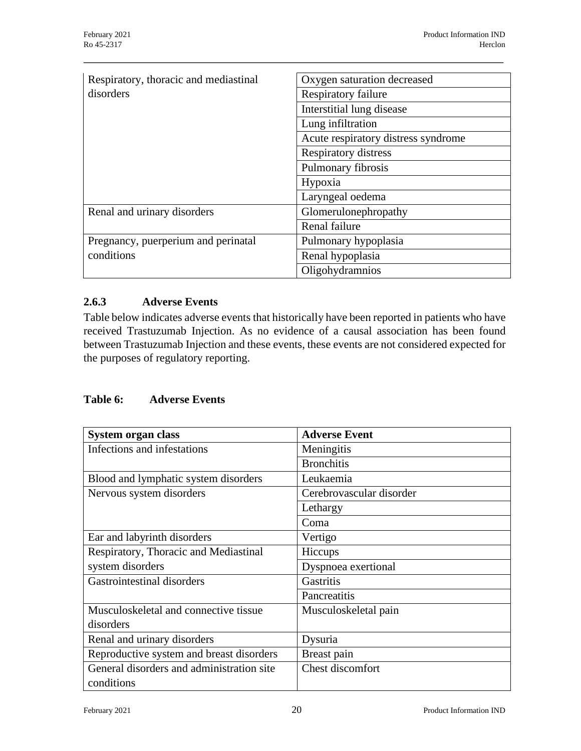| Respiratory, thoracic and mediastinal | Oxygen saturation decreased         |  |
|---------------------------------------|-------------------------------------|--|
| disorders                             | Respiratory failure                 |  |
|                                       | Interstitial lung disease           |  |
|                                       | Lung infiltration                   |  |
|                                       | Acute respiratory distress syndrome |  |
|                                       | Respiratory distress                |  |
|                                       | Pulmonary fibrosis                  |  |
|                                       | Hypoxia                             |  |
|                                       | Laryngeal oedema                    |  |
| Renal and urinary disorders           | Glomerulonephropathy                |  |
|                                       | Renal failure                       |  |
| Pregnancy, puerperium and perinatal   | Pulmonary hypoplasia                |  |
| conditions                            | Renal hypoplasia                    |  |
|                                       | Oligohydramnios                     |  |

# **2.6.3 Adverse Events**

Table below indicates adverse events that historically have been reported in patients who have received Trastuzumab Injection. As no evidence of a causal association has been found between Trastuzumab Injection and these events, these events are not considered expected for the purposes of regulatory reporting.

# **Table 6: Adverse Events**

| <b>System organ class</b>                 | <b>Adverse Event</b>     |
|-------------------------------------------|--------------------------|
| Infections and infestations               | Meningitis               |
|                                           | <b>Bronchitis</b>        |
| Blood and lymphatic system disorders      | Leukaemia                |
| Nervous system disorders                  | Cerebrovascular disorder |
|                                           | Lethargy                 |
|                                           | Coma                     |
| Ear and labyrinth disorders               | Vertigo                  |
| Respiratory, Thoracic and Mediastinal     | Hiccups                  |
| system disorders                          | Dyspnoea exertional      |
| Gastrointestinal disorders                | Gastritis                |
|                                           | Pancreatitis             |
| Musculoskeletal and connective tissue     | Musculoskeletal pain     |
| disorders                                 |                          |
| Renal and urinary disorders               | Dysuria                  |
| Reproductive system and breast disorders  | Breast pain              |
| General disorders and administration site | Chest discomfort         |
| conditions                                |                          |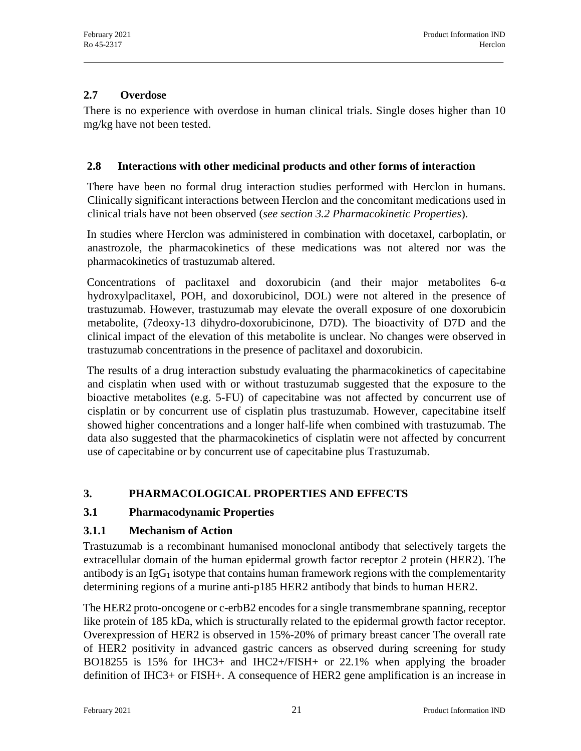# **2.7 Overdose**

There is no experience with overdose in human clinical trials. Single doses higher than 10 mg/kg have not been tested.

# **2.8 Interactions with other medicinal products and other forms of interaction**

There have been no formal drug interaction studies performed with Herclon in humans. Clinically significant interactions between Herclon and the concomitant medications used in clinical trials have not been observed (*see section 3.2 Pharmacokinetic Properties*).

In studies where Herclon was administered in combination with docetaxel, carboplatin, or anastrozole, the pharmacokinetics of these medications was not altered nor was the pharmacokinetics of trastuzumab altered.

Concentrations of paclitaxel and doxorubicin (and their major metabolites  $6-\alpha$ hydroxylpaclitaxel, POH, and doxorubicinol, DOL) were not altered in the presence of trastuzumab. However, trastuzumab may elevate the overall exposure of one doxorubicin metabolite, (7deoxy-13 dihydro-doxorubicinone, D7D). The bioactivity of D7D and the clinical impact of the elevation of this metabolite is unclear. No changes were observed in trastuzumab concentrations in the presence of paclitaxel and doxorubicin.

The results of a drug interaction substudy evaluating the pharmacokinetics of capecitabine and cisplatin when used with or without trastuzumab suggested that the exposure to the bioactive metabolites (e.g. 5-FU) of capecitabine was not affected by concurrent use of cisplatin or by concurrent use of cisplatin plus trastuzumab. However, capecitabine itself showed higher concentrations and a longer half-life when combined with trastuzumab. The data also suggested that the pharmacokinetics of cisplatin were not affected by concurrent use of capecitabine or by concurrent use of capecitabine plus Trastuzumab.

# **3. PHARMACOLOGICAL PROPERTIES AND EFFECTS**

# **3.1 Pharmacodynamic Properties**

# **3.1.1 Mechanism of Action**

Trastuzumab is a recombinant humanised monoclonal antibody that selectively targets the extracellular domain of the human epidermal growth factor receptor 2 protein (HER2). The antibody is an  $IgG_1$  isotype that contains human framework regions with the complementarity determining regions of a murine anti-p185 HER2 antibody that binds to human HER2.

The HER2 proto-oncogene or c-erbB2 encodes for a single transmembrane spanning, receptor like protein of 185 kDa, which is structurally related to the epidermal growth factor receptor. Overexpression of HER2 is observed in 15%-20% of primary breast cancer The overall rate of HER2 positivity in advanced gastric cancers as observed during screening for study BO18255 is 15% for IHC3+ and IHC2+/FISH+ or 22.1% when applying the broader definition of IHC3+ or FISH+. A consequence of HER2 gene amplification is an increase in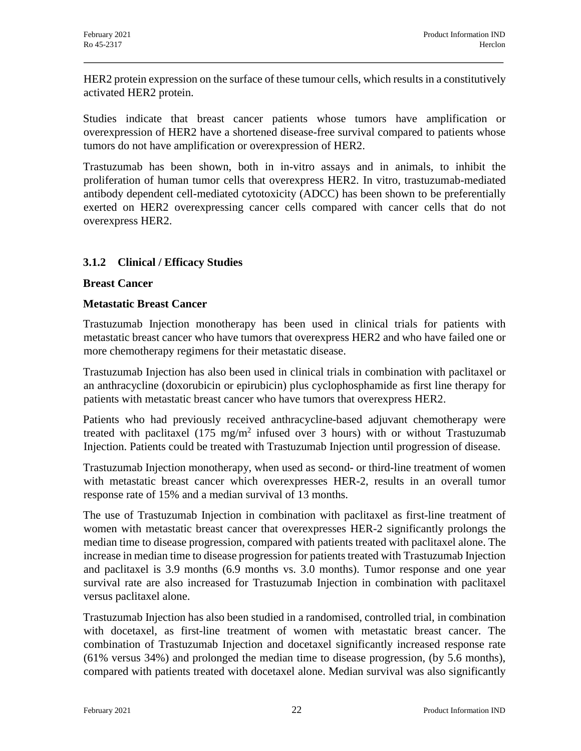HER2 protein expression on the surface of these tumour cells, which results in a constitutively activated HER2 protein.

Studies indicate that breast cancer patients whose tumors have amplification or overexpression of HER2 have a shortened disease-free survival compared to patients whose tumors do not have amplification or overexpression of HER2.

Trastuzumab has been shown, both in in-vitro assays and in animals, to inhibit the proliferation of human tumor cells that overexpress HER2. In vitro, trastuzumab-mediated antibody dependent cell-mediated cytotoxicity (ADCC) has been shown to be preferentially exerted on HER2 overexpressing cancer cells compared with cancer cells that do not overexpress HER2.

# **3.1.2 Clinical / Efficacy Studies**

#### **Breast Cancer**

#### **Metastatic Breast Cancer**

Trastuzumab Injection monotherapy has been used in clinical trials for patients with metastatic breast cancer who have tumors that overexpress HER2 and who have failed one or more chemotherapy regimens for their metastatic disease.

Trastuzumab Injection has also been used in clinical trials in combination with paclitaxel or an anthracycline (doxorubicin or epirubicin) plus cyclophosphamide as first line therapy for patients with metastatic breast cancer who have tumors that overexpress HER2.

Patients who had previously received anthracycline-based adjuvant chemotherapy were treated with paclitaxel  $(175 \text{ mg/m}^2 \text{ infused over } 3 \text{ hours})$  with or without Trastuzumab Injection. Patients could be treated with Trastuzumab Injection until progression of disease.

Trastuzumab Injection monotherapy, when used as second- or third-line treatment of women with metastatic breast cancer which overexpresses HER-2, results in an overall tumor response rate of 15% and a median survival of 13 months.

The use of Trastuzumab Injection in combination with paclitaxel as first-line treatment of women with metastatic breast cancer that overexpresses HER-2 significantly prolongs the median time to disease progression, compared with patients treated with paclitaxel alone. The increase in median time to disease progression for patients treated with Trastuzumab Injection and paclitaxel is 3.9 months (6.9 months vs. 3.0 months). Tumor response and one year survival rate are also increased for Trastuzumab Injection in combination with paclitaxel versus paclitaxel alone.

Trastuzumab Injection has also been studied in a randomised, controlled trial, in combination with docetaxel, as first-line treatment of women with metastatic breast cancer. The combination of Trastuzumab Injection and docetaxel significantly increased response rate (61% versus 34%) and prolonged the median time to disease progression, (by 5.6 months), compared with patients treated with docetaxel alone. Median survival was also significantly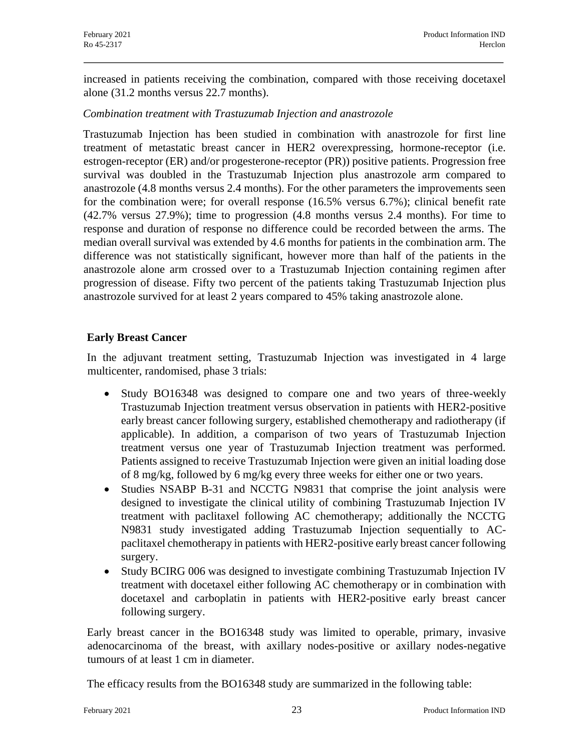increased in patients receiving the combination, compared with those receiving docetaxel alone (31.2 months versus 22.7 months).

#### *Combination treatment with Trastuzumab Injection and anastrozole*

Trastuzumab Injection has been studied in combination with anastrozole for first line treatment of metastatic breast cancer in HER2 overexpressing, hormone-receptor (i.e. estrogen-receptor (ER) and/or progesterone-receptor (PR)) positive patients. Progression free survival was doubled in the Trastuzumab Injection plus anastrozole arm compared to anastrozole (4.8 months versus 2.4 months). For the other parameters the improvements seen for the combination were; for overall response (16.5% versus 6.7%); clinical benefit rate (42.7% versus 27.9%); time to progression (4.8 months versus 2.4 months). For time to response and duration of response no difference could be recorded between the arms. The median overall survival was extended by 4.6 months for patients in the combination arm. The difference was not statistically significant, however more than half of the patients in the anastrozole alone arm crossed over to a Trastuzumab Injection containing regimen after progression of disease. Fifty two percent of the patients taking Trastuzumab Injection plus anastrozole survived for at least 2 years compared to 45% taking anastrozole alone.

#### **Early Breast Cancer**

In the adjuvant treatment setting, Trastuzumab Injection was investigated in 4 large multicenter, randomised, phase 3 trials:

- Study BO16348 was designed to compare one and two years of three-weekly Trastuzumab Injection treatment versus observation in patients with HER2-positive early breast cancer following surgery, established chemotherapy and radiotherapy (if applicable). In addition, a comparison of two years of Trastuzumab Injection treatment versus one year of Trastuzumab Injection treatment was performed. Patients assigned to receive Trastuzumab Injection were given an initial loading dose of 8 mg/kg, followed by 6 mg/kg every three weeks for either one or two years.
- Studies NSABP B-31 and NCCTG N9831 that comprise the joint analysis were designed to investigate the clinical utility of combining Trastuzumab Injection IV treatment with paclitaxel following AC chemotherapy; additionally the NCCTG N9831 study investigated adding Trastuzumab Injection sequentially to ACpaclitaxel chemotherapy in patients with HER2-positive early breast cancer following surgery.
- Study BCIRG 006 was designed to investigate combining Trastuzumab Injection IV treatment with docetaxel either following AC chemotherapy or in combination with docetaxel and carboplatin in patients with HER2-positive early breast cancer following surgery.

Early breast cancer in the BO16348 study was limited to operable, primary, invasive adenocarcinoma of the breast, with axillary nodes-positive or axillary nodes-negative tumours of at least 1 cm in diameter.

The efficacy results from the BO16348 study are summarized in the following table: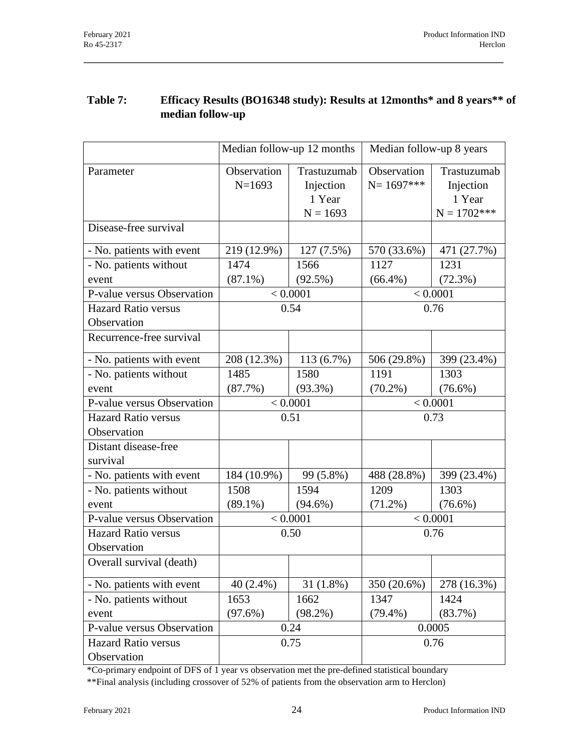# **Table 7: Efficacy Results (BO16348 study): Results at 12months\* and 8 years\*\* of median follow-up**

|                            | Median follow-up 12 months |             | Median follow-up 8 years |                |  |
|----------------------------|----------------------------|-------------|--------------------------|----------------|--|
| Parameter                  | Observation                | Trastuzumab | Observation              | Trastuzumab    |  |
|                            | $N=1693$                   | Injection   | $N = 1697$ ***           | Injection      |  |
|                            |                            | 1 Year      |                          | 1 Year         |  |
|                            |                            | $N = 1693$  |                          | $N = 1702$ *** |  |
| Disease-free survival      |                            |             |                          |                |  |
| - No. patients with event  | 219 (12.9%)                | 127(7.5%)   | 570 (33.6%)              | 471 (27.7%)    |  |
| - No. patients without     | 1474                       | 1566        | 1127                     | 1231           |  |
| event                      | $(87.1\%)$                 | (92.5%)     | $(66.4\%)$               | (72.3%)        |  |
| P-value versus Observation |                            | < 0.0001    |                          | < 0.0001       |  |
| <b>Hazard Ratio versus</b> |                            | 0.54        |                          | 0.76           |  |
| Observation                |                            |             |                          |                |  |
| Recurrence-free survival   |                            |             |                          |                |  |
| - No. patients with event  | 208 (12.3%)                | 113 (6.7%)  | 506 (29.8%)              | 399 (23.4%)    |  |
| - No. patients without     | 1485                       | 1580        | 1191                     | 1303           |  |
| event                      | (87.7%)                    | $(93.3\%)$  | $(70.2\%)$               | $(76.6\%)$     |  |
| P-value versus Observation | < 0.0001                   |             |                          | < 0.0001       |  |
| Hazard Ratio versus        | 0.51                       |             | 0.73                     |                |  |
| Observation                |                            |             |                          |                |  |
| Distant disease-free       |                            |             |                          |                |  |
| survival                   |                            |             |                          |                |  |
| - No. patients with event  | 184 (10.9%)                | 99 (5.8%)   | 488 (28.8%)              | 399 (23.4%)    |  |
| - No. patients without     | 1508                       | 1594        | 1209                     | 1303           |  |
| event                      | $(89.1\%)$                 | $(94.6\%)$  | $(71.2\%)$               | $(76.6\%)$     |  |
| P-value versus Observation | < 0.0001                   |             | < 0.0001                 |                |  |
| <b>Hazard Ratio versus</b> | 0.50                       |             | 0.76                     |                |  |
| Observation                |                            |             |                          |                |  |
| Overall survival (death)   |                            |             |                          |                |  |
| - No. patients with event  | $40(2.4\%)$                | $31(1.8\%)$ | 350 (20.6%)              | 278 (16.3%)    |  |
| - No. patients without     | 1653                       | 1662        | 1347                     | 1424           |  |
| event                      | $(97.6\%)$                 | $(98.2\%)$  | $(79.4\%)$               | (83.7%)        |  |
| P-value versus Observation |                            | 0.24        |                          | 0.0005         |  |
| <b>Hazard Ratio versus</b> |                            | 0.75        |                          | 0.76           |  |
| Observation                |                            |             |                          |                |  |

\*Co-primary endpoint of DFS of 1 year vs observation met the pre-defined statistical boundary

\*\*Final analysis (including crossover of 52% of patients from the observation arm to Herclon)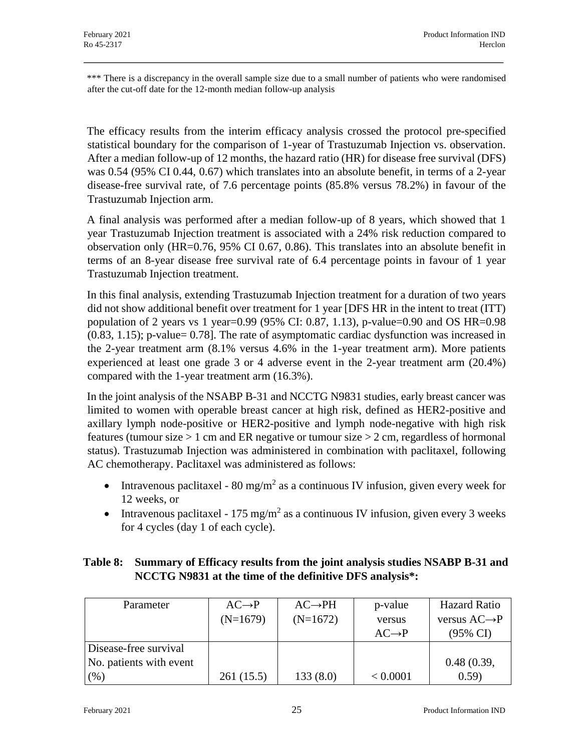\*\*\* There is a discrepancy in the overall sample size due to a small number of patients who were randomised after the cut-off date for the 12-month median follow-up analysis

The efficacy results from the interim efficacy analysis crossed the protocol pre-specified statistical boundary for the comparison of 1-year of Trastuzumab Injection vs. observation. After a median follow-up of 12 months, the hazard ratio (HR) for disease free survival (DFS) was 0.54 (95% CI 0.44, 0.67) which translates into an absolute benefit, in terms of a 2-year disease-free survival rate, of 7.6 percentage points (85.8% versus 78.2%) in favour of the Trastuzumab Injection arm.

A final analysis was performed after a median follow-up of 8 years, which showed that 1 year Trastuzumab Injection treatment is associated with a 24% risk reduction compared to observation only (HR=0.76, 95% CI 0.67, 0.86). This translates into an absolute benefit in terms of an 8-year disease free survival rate of 6.4 percentage points in favour of 1 year Trastuzumab Injection treatment.

In this final analysis, extending Trastuzumab Injection treatment for a duration of two years did not show additional benefit over treatment for 1 year [DFS HR in the intent to treat (ITT) population of 2 years vs 1 year=0.99 (95% CI: 0.87, 1.13), p-value=0.90 and OS HR=0.98 (0.83, 1.15); p-value= 0.78]. The rate of asymptomatic cardiac dysfunction was increased in the 2-year treatment arm (8.1% versus 4.6% in the 1-year treatment arm). More patients experienced at least one grade 3 or 4 adverse event in the 2-year treatment arm (20.4%) compared with the 1-year treatment arm (16.3%).

In the joint analysis of the NSABP B-31 and NCCTG N9831 studies, early breast cancer was limited to women with operable breast cancer at high risk, defined as HER2-positive and axillary lymph node-positive or HER2-positive and lymph node-negative with high risk features (tumour size  $> 1$  cm and ER negative or tumour size  $> 2$  cm, regardless of hormonal status). Trastuzumab Injection was administered in combination with paclitaxel, following AC chemotherapy. Paclitaxel was administered as follows:

- Intravenous paclitaxel 80 mg/m<sup>2</sup> as a continuous IV infusion, given every week for 12 weeks, or
- Intravenous paclitaxel 175 mg/m<sup>2</sup> as a continuous IV infusion, given every 3 weeks for 4 cycles (day 1 of each cycle).

# **Table 8: Summary of Efficacy results from the joint analysis studies NSABP B-31 and NCCTG N9831 at the time of the definitive DFS analysis\*:**

| Parameter               | $AC \rightarrow P$ | $AC \rightarrow PH$ | p-value            | <b>Hazard Ratio</b>       |
|-------------------------|--------------------|---------------------|--------------------|---------------------------|
|                         | $(N=1679)$         | $(N=1672)$          | versus             | versus $AC \rightarrow P$ |
|                         |                    |                     | $AC \rightarrow P$ | $(95\% \text{ CI})$       |
| Disease-free survival   |                    |                     |                    |                           |
| No. patients with event |                    |                     |                    | 0.48(0.39,                |
| (%)                     | 261(15.5)          | 133(8.0)            | < 0.0001           | (0.59)                    |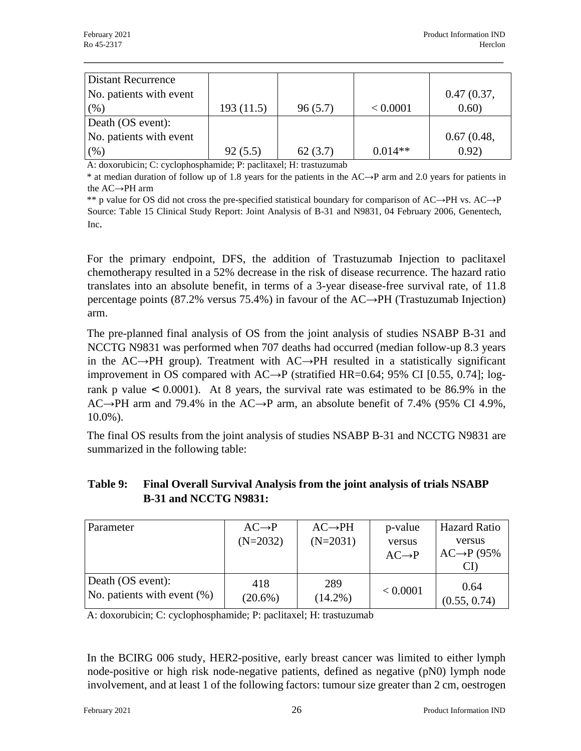| Distant Recurrence      |           |         |           |            |
|-------------------------|-----------|---------|-----------|------------|
| No. patients with event |           |         |           | 0.47(0.37, |
| (96)                    | 193(11.5) | 96(5.7) | < 0.0001  | 0.60)      |
| Death (OS event):       |           |         |           |            |
| No. patients with event |           |         |           | 0.67(0.48, |
| (% )                    | 92(5.5)   | 62(3.7) | $0.014**$ | 0.92)      |

A: doxorubicin; C: cyclophosphamide; P: paclitaxel; H: trastuzumab

\* at median duration of follow up of 1.8 years for the patients in the AC→P arm and 2.0 years for patients in the AC→PH arm

\*\* p value for OS did not cross the pre-specified statistical boundary for comparison of AC→PH vs. AC→P Source: Table 15 Clinical Study Report: Joint Analysis of B-31 and N9831, 04 February 2006, Genentech, Inc.

For the primary endpoint, DFS, the addition of Trastuzumab Injection to paclitaxel chemotherapy resulted in a 52% decrease in the risk of disease recurrence. The hazard ratio translates into an absolute benefit, in terms of a 3-year disease-free survival rate, of 11.8 percentage points (87.2% versus 75.4%) in favour of the AC→PH (Trastuzumab Injection) arm.

The pre-planned final analysis of OS from the joint analysis of studies NSABP B-31 and NCCTG N9831 was performed when 707 deaths had occurred (median follow-up 8.3 years in the AC→PH group). Treatment with AC→PH resulted in a statistically significant improvement in OS compared with AC→P (stratified HR=0.64; 95% CI [0.55, 0.74]; logrank p value < 0.0001). At 8 years, the survival rate was estimated to be 86.9% in the  $AC \rightarrow PH$  arm and 79.4% in the  $AC \rightarrow P$  arm, an absolute benefit of 7.4% (95% CI 4.9%, 10.0%).

The final OS results from the joint analysis of studies NSABP B-31 and NCCTG N9831 are summarized in the following table:

| Parameter                      | $AC \rightarrow P$<br>$(N=2032)$ | $AC \rightarrow PH$<br>$(N=2031)$ | p-value<br>versus<br>$AC \rightarrow P$ | <b>Hazard Ratio</b><br>versus<br>$AC\rightarrow P$ (95%) |
|--------------------------------|----------------------------------|-----------------------------------|-----------------------------------------|----------------------------------------------------------|
| Death (OS event):              | 418                              | 289                               | < 0.0001                                | 0.64                                                     |
| No. patients with event $(\%)$ | $(20.6\%)$                       | $(14.2\%)$                        |                                         | (0.55, 0.74)                                             |

# **Table 9: Final Overall Survival Analysis from the joint analysis of trials NSABP B-31 and NCCTG N9831:**

A: doxorubicin; C: cyclophosphamide; P: paclitaxel; H: trastuzumab

In the BCIRG 006 study, HER2-positive, early breast cancer was limited to either lymph node-positive or high risk node-negative patients, defined as negative (pN0) lymph node involvement, and at least 1 of the following factors: tumour size greater than 2 cm, oestrogen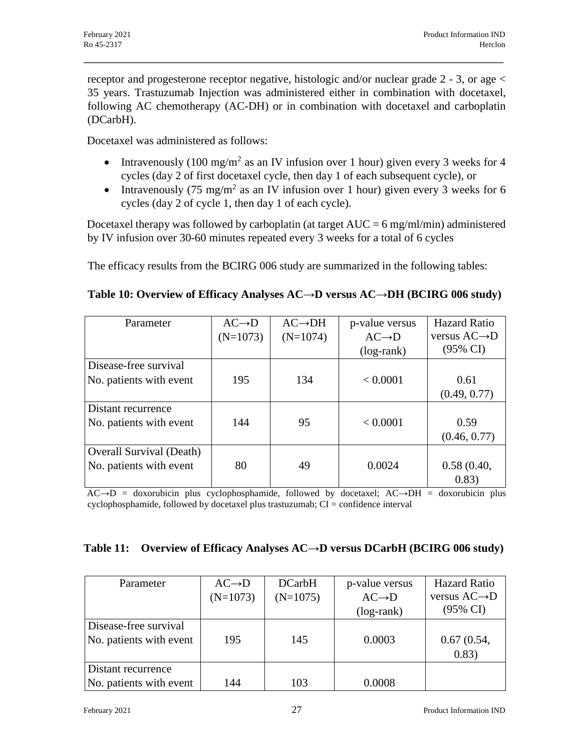receptor and progesterone receptor negative, histologic and/or nuclear grade 2 - 3, or age < 35 years. Trastuzumab Injection was administered either in combination with docetaxel, following AC chemotherapy (AC-DH) or in combination with docetaxel and carboplatin (DCarbH).

Docetaxel was administered as follows:

- Intravenously (100 mg/m<sup>2</sup> as an IV infusion over 1 hour) given every 3 weeks for 4 cycles (day 2 of first docetaxel cycle, then day 1 of each subsequent cycle), or
- Intravenously (75 mg/m<sup>2</sup> as an IV infusion over 1 hour) given every 3 weeks for 6 cycles (day 2 of cycle 1, then day 1 of each cycle).

Docetaxel therapy was followed by carboplatin (at target  $AUC = 6$  mg/ml/min) administered by IV infusion over 30-60 minutes repeated every 3 weeks for a total of 6 cycles

The efficacy results from the BCIRG 006 study are summarized in the following tables:

| Table 10: Overview of Efficacy Analyses $AC \rightarrow D$ versus $AC \rightarrow DH$ (BCIRG 006 study) |
|---------------------------------------------------------------------------------------------------------|
|---------------------------------------------------------------------------------------------------------|

| Parameter                       | $AC \rightarrow D$ | $AC \rightarrow DH$ | p-value versus     | <b>Hazard Ratio</b>       |
|---------------------------------|--------------------|---------------------|--------------------|---------------------------|
|                                 | $(N=1073)$         | $(N=1074)$          | $AC \rightarrow D$ | versus $AC \rightarrow D$ |
|                                 |                    |                     | $(log-rank)$       | $(95\% \text{ CI})$       |
| Disease-free survival           |                    |                     |                    |                           |
| No. patients with event         | 195                | 134                 | < 0.0001           | 0.61                      |
|                                 |                    |                     |                    | (0.49, 0.77)              |
| Distant recurrence              |                    |                     |                    |                           |
| No. patients with event         | 144                | 95                  | < 0.0001           | 0.59                      |
|                                 |                    |                     |                    | (0.46, 0.77)              |
| <b>Overall Survival (Death)</b> |                    |                     |                    |                           |
| No. patients with event         | 80                 | 49                  | 0.0024             | 0.58(0.40,                |
|                                 |                    |                     |                    | 0.83)                     |

 $AC \rightarrow D$  = doxorubicin plus cyclophosphamide, followed by docetaxel;  $AC \rightarrow DH$  = doxorubicin plus cyclophosphamide, followed by docetaxel plus trastuzumab; CI = confidence interval

| Table 11: Overview of Efficacy Analyses $AC \rightarrow D$ versus DCarbH (BCIRG 006 study) |  |  |  |
|--------------------------------------------------------------------------------------------|--|--|--|
|                                                                                            |  |  |  |

| Parameter               | $AC \rightarrow D$ | <b>DCarbH</b> | p-value versus     | <b>Hazard Ratio</b>       |
|-------------------------|--------------------|---------------|--------------------|---------------------------|
|                         | $(N=1073)$         | $(N=1075)$    | $AC \rightarrow D$ | versus $AC \rightarrow D$ |
|                         |                    |               | $(log-rank)$       | $(95\% \text{ CI})$       |
| Disease-free survival   |                    |               |                    |                           |
| No. patients with event | 195                | 145           | 0.0003             | 0.67(0.54,                |
|                         |                    |               |                    | 0.83)                     |
| Distant recurrence      |                    |               |                    |                           |
| No. patients with event | 144                | 103           | 0.0008             |                           |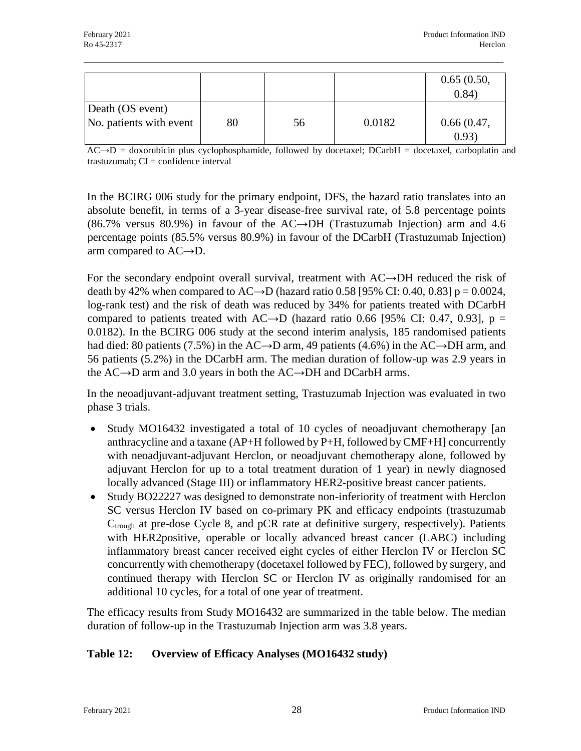|                                             |    |    |        | 0.65(0.50,<br>0.84) |
|---------------------------------------------|----|----|--------|---------------------|
| Death (OS event)<br>No. patients with event | 80 | 56 | 0.0182 | 0.66(0.47,<br>0.93  |

AC→D = doxorubicin plus cyclophosphamide, followed by docetaxel; DCarbH = docetaxel, carboplatin and trastuzumab; CI = confidence interval

In the BCIRG 006 study for the primary endpoint, DFS, the hazard ratio translates into an absolute benefit, in terms of a 3-year disease-free survival rate, of 5.8 percentage points (86.7% versus 80.9%) in favour of the AC→DH (Trastuzumab Injection) arm and 4.6 percentage points (85.5% versus 80.9%) in favour of the DCarbH (Trastuzumab Injection) arm compared to AC→D.

For the secondary endpoint overall survival, treatment with AC→DH reduced the risk of death by 42% when compared to AC→D (hazard ratio 0.58 [95% CI: 0.40, 0.83]  $p = 0.0024$ , log-rank test) and the risk of death was reduced by 34% for patients treated with DCarbH compared to patients treated with  $AC\rightarrow D$  (hazard ratio 0.66 [95% CI: 0.47, 0.93], p = 0.0182). In the BCIRG 006 study at the second interim analysis, 185 randomised patients had died: 80 patients (7.5%) in the AC→D arm, 49 patients (4.6%) in the AC→DH arm, and 56 patients (5.2%) in the DCarbH arm. The median duration of follow-up was 2.9 years in the AC→D arm and 3.0 years in both the AC→DH and DCarbH arms.

In the neoadjuvant-adjuvant treatment setting, Trastuzumab Injection was evaluated in two phase 3 trials.

- Study MO16432 investigated a total of 10 cycles of neoadjuvant chemotherapy [an anthracycline and a taxane (AP+H followed by P+H, followed by CMF+H] concurrently with neoadjuvant-adjuvant Herclon, or neoadjuvant chemotherapy alone, followed by adjuvant Herclon for up to a total treatment duration of 1 year) in newly diagnosed locally advanced (Stage III) or inflammatory HER2-positive breast cancer patients.
- Study BO22227 was designed to demonstrate non-inferiority of treatment with Herclon SC versus Herclon IV based on co-primary PK and efficacy endpoints (trastuzumab  $C_{trough}$  at pre-dose Cycle 8, and pCR rate at definitive surgery, respectively). Patients with HER2positive, operable or locally advanced breast cancer (LABC) including inflammatory breast cancer received eight cycles of either Herclon IV or Herclon SC concurrently with chemotherapy (docetaxel followed by FEC), followed by surgery, and continued therapy with Herclon SC or Herclon IV as originally randomised for an additional 10 cycles, for a total of one year of treatment.

The efficacy results from Study MO16432 are summarized in the table below. The median duration of follow-up in the Trastuzumab Injection arm was 3.8 years.

# **Table 12: Overview of Efficacy Analyses (MO16432 study)**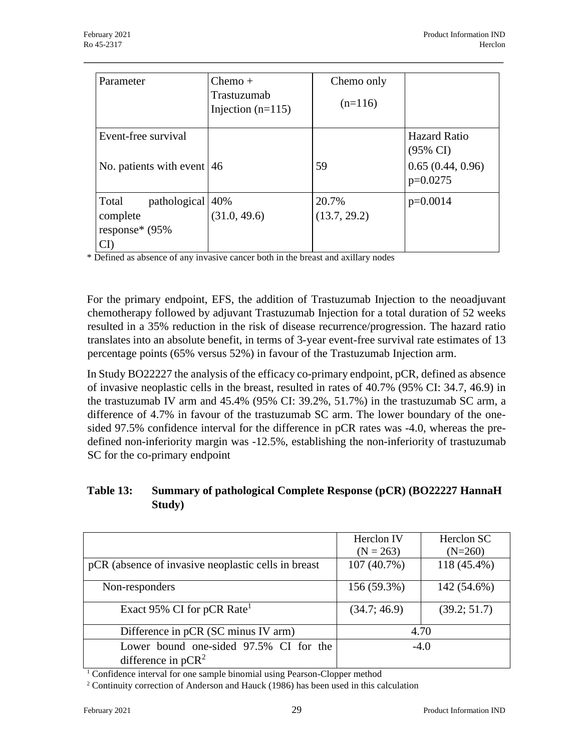| Parameter                                                      | $Chemo +$<br>Trastuzumab<br>Injection $(n=115)$ | Chemo only<br>$(n=116)$ |                                                                              |
|----------------------------------------------------------------|-------------------------------------------------|-------------------------|------------------------------------------------------------------------------|
| Event-free survival<br>No. patients with event $ 46$           |                                                 | 59                      | <b>Hazard Ratio</b><br>$(95\% \text{ CI})$<br>0.65(0.44, 0.96)<br>$p=0.0275$ |
| Total<br>pathological 40%<br>complete<br>response* (95%<br>CI) | (31.0, 49.6)                                    | 20.7%<br>(13.7, 29.2)   | $p=0.0014$                                                                   |

\* Defined as absence of any invasive cancer both in the breast and axillary nodes

For the primary endpoint, EFS, the addition of Trastuzumab Injection to the neoadjuvant chemotherapy followed by adjuvant Trastuzumab Injection for a total duration of 52 weeks resulted in a 35% reduction in the risk of disease recurrence/progression. The hazard ratio translates into an absolute benefit, in terms of 3-year event-free survival rate estimates of 13 percentage points (65% versus 52%) in favour of the Trastuzumab Injection arm.

In Study BO22227 the analysis of the efficacy co-primary endpoint, pCR, defined as absence of invasive neoplastic cells in the breast, resulted in rates of 40.7% (95% CI: 34.7, 46.9) in the trastuzumab IV arm and 45.4% (95% CI: 39.2%, 51.7%) in the trastuzumab SC arm, a difference of 4.7% in favour of the trastuzumab SC arm. The lower boundary of the onesided 97.5% confidence interval for the difference in pCR rates was -4.0, whereas the predefined non-inferiority margin was -12.5%, establishing the non-inferiority of trastuzumab SC for the co-primary endpoint

# **Table 13: Summary of pathological Complete Response (pCR) (BO22227 HannaH Study)**

|                                                                 | Herclon IV<br>$(N = 263)$ | Herclon SC<br>$(N=260)$ |
|-----------------------------------------------------------------|---------------------------|-------------------------|
| pCR (absence of invasive neoplastic cells in breast)            | 107 (40.7%)               | 118 (45.4%)             |
| Non-responders                                                  | 156 (59.3%)               | 142 (54.6%)             |
| Exact 95% CI for pCR Rate <sup>1</sup>                          | (34.7; 46.9)              | (39.2; 51.7)            |
| Difference in pCR (SC minus IV arm)                             | 4.70                      |                         |
| Lower bound one-sided 97.5% CI for the<br>difference in $pCR^2$ | $-4.0$                    |                         |

<sup>1</sup> Confidence interval for one sample binomial using Pearson-Clopper method

<sup>2</sup> Continuity correction of Anderson and Hauck (1986) has been used in this calculation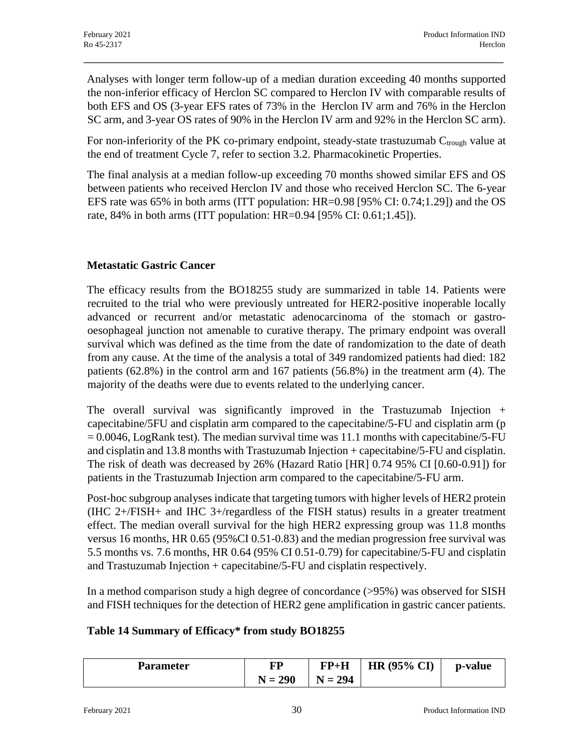Analyses with longer term follow-up of a median duration exceeding 40 months supported the non-inferior efficacy of Herclon SC compared to Herclon IV with comparable results of both EFS and OS (3-year EFS rates of 73% in the Herclon IV arm and 76% in the Herclon SC arm, and 3-year OS rates of 90% in the Herclon IV arm and 92% in the Herclon SC arm).

For non-inferiority of the PK co-primary endpoint, steady-state trastuzumab  $C_{trough}$  value at the end of treatment Cycle 7, refer to section 3.2. Pharmacokinetic Properties.

The final analysis at a median follow-up exceeding 70 months showed similar EFS and OS between patients who received Herclon IV and those who received Herclon SC. The 6-year EFS rate was 65% in both arms (ITT population: HR=0.98 [95% CI: 0.74;1.29]) and the OS rate, 84% in both arms (ITT population: HR=0.94 [95% CI: 0.61;1.45]).

# **Metastatic Gastric Cancer**

The efficacy results from the BO18255 study are summarized in table 14. Patients were recruited to the trial who were previously untreated for HER2-positive inoperable locally advanced or recurrent and/or metastatic adenocarcinoma of the stomach or gastrooesophageal junction not amenable to curative therapy. The primary endpoint was overall survival which was defined as the time from the date of randomization to the date of death from any cause. At the time of the analysis a total of 349 randomized patients had died: 182 patients (62.8%) in the control arm and 167 patients (56.8%) in the treatment arm (4). The majority of the deaths were due to events related to the underlying cancer.

The overall survival was significantly improved in the Trastuzumab Injection + capecitabine/5FU and cisplatin arm compared to the capecitabine/5-FU and cisplatin arm (p  $= 0.0046$ , LogRank test). The median survival time was 11.1 months with capecitabine/5-FU and cisplatin and 13.8 months with Trastuzumab Injection + capecitabine/5-FU and cisplatin. The risk of death was decreased by 26% (Hazard Ratio [HR] 0.74 95% CI [0.60-0.91]) for patients in the Trastuzumab Injection arm compared to the capecitabine/5-FU arm.

Post-hoc subgroup analyses indicate that targeting tumors with higher levels of HER2 protein (IHC  $2+\sqrt{FISH+}$  and IHC  $3+\sqrt{F_R}$  regardless of the FISH status) results in a greater treatment effect. The median overall survival for the high HER2 expressing group was 11.8 months versus 16 months, HR 0.65 (95%CI 0.51-0.83) and the median progression free survival was 5.5 months vs. 7.6 months, HR 0.64 (95% CI 0.51-0.79) for capecitabine/5-FU and cisplatin and Trastuzumab Injection + capecitabine/5-FU and cisplatin respectively.

In a method comparison study a high degree of concordance (>95%) was observed for SISH and FISH techniques for the detection of HER2 gene amplification in gastric cancer patients.

#### **Table 14 Summary of Efficacy\* from study BO18255**

| Parameter | FP        | $FP+H$    | $HR (95\% CI)$ | p-value |
|-----------|-----------|-----------|----------------|---------|
|           | $N = 290$ | $N = 294$ |                |         |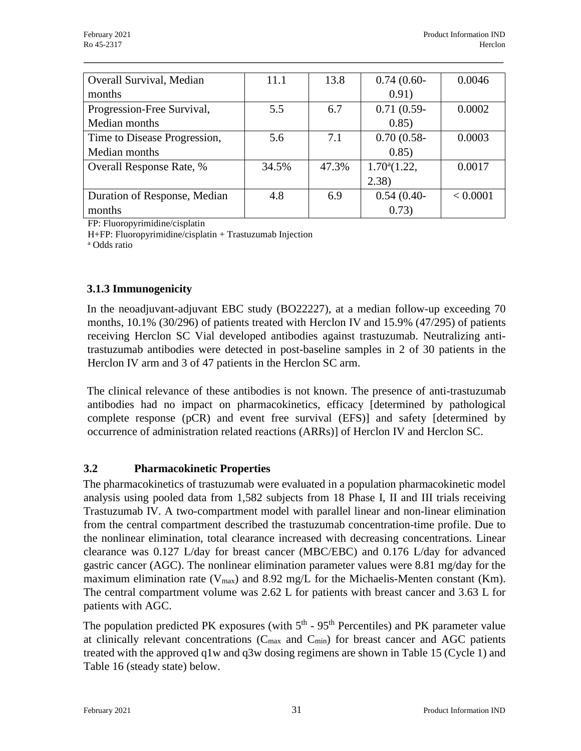| Overall Survival, Median     | 11.1  | 13.8  | $0.74(0.60-$          | 0.0046   |
|------------------------------|-------|-------|-----------------------|----------|
| months                       |       |       | 0.91)                 |          |
| Progression-Free Survival,   | 5.5   | 6.7   | $0.71(0.59-$          | 0.0002   |
| Median months                |       |       | 0.85)                 |          |
| Time to Disease Progression, | 5.6   | 7.1   | $0.70(0.58 -$         | 0.0003   |
| Median months                |       |       | 0.85)                 |          |
| Overall Response Rate, %     | 34.5% | 47.3% | $1.70^{\circ}$ (1.22, | 0.0017   |
|                              |       |       | 2.38)                 |          |
| Duration of Response, Median | 4.8   | 6.9   | $0.54(0.40-$          | < 0.0001 |
| months                       |       |       | 0.73)                 |          |

FP: Fluoropyrimidine/cisplatin

H+FP: Fluoropyrimidine/cisplatin + Trastuzumab Injection <sup>a</sup> Odds ratio

# **3.1.3 Immunogenicity**

In the neoadjuvant-adjuvant EBC study (BO22227), at a median follow-up exceeding 70 months, 10.1% (30/296) of patients treated with Herclon IV and 15.9% (47/295) of patients receiving Herclon SC Vial developed antibodies against trastuzumab. Neutralizing antitrastuzumab antibodies were detected in post-baseline samples in 2 of 30 patients in the Herclon IV arm and 3 of 47 patients in the Herclon SC arm.

The clinical relevance of these antibodies is not known. The presence of anti-trastuzumab antibodies had no impact on pharmacokinetics, efficacy [determined by pathological complete response (pCR) and event free survival (EFS)] and safety [determined by occurrence of administration related reactions (ARRs)] of Herclon IV and Herclon SC.

# **3.2 Pharmacokinetic Properties**

The pharmacokinetics of trastuzumab were evaluated in a population pharmacokinetic model analysis using pooled data from 1,582 subjects from 18 Phase I, II and III trials receiving Trastuzumab IV. A two-compartment model with parallel linear and non-linear elimination from the central compartment described the trastuzumab concentration-time profile. Due to the nonlinear elimination, total clearance increased with decreasing concentrations. Linear clearance was 0.127 L/day for breast cancer (MBC/EBC) and 0.176 L/day for advanced gastric cancer (AGC). The nonlinear elimination parameter values were 8.81 mg/day for the maximum elimination rate ( $V_{\text{max}}$ ) and 8.92 mg/L for the Michaelis-Menten constant (Km). The central compartment volume was 2.62 L for patients with breast cancer and 3.63 L for patients with AGC.

The population predicted PK exposures (with  $5<sup>th</sup>$  -  $95<sup>th</sup>$  Percentiles) and PK parameter value at clinically relevant concentrations ( $C_{\text{max}}$  and  $C_{\text{min}}$ ) for breast cancer and AGC patients treated with the approved q1w and q3w dosing regimens are shown in Table 15 (Cycle 1) and Table 16 (steady state) below.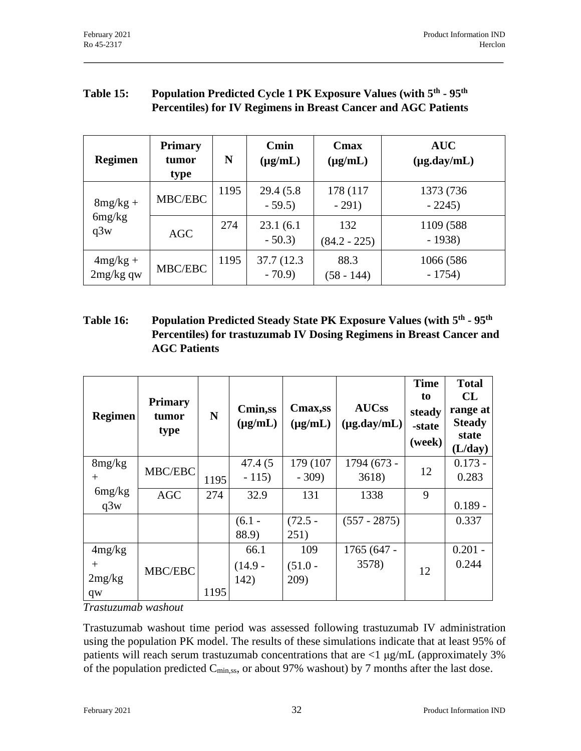# **Table 15: Population Predicted Cycle 1 PK Exposure Values (with 5th - 95th Percentiles) for IV Regimens in Breast Cancer and AGC Patients**

| <b>Regimen</b>              | <b>Primary</b><br>tumor<br>type | N    | Cmin<br>$(\mu g/mL)$   | Cmax<br>$(\mu g/mL)$  | <b>AUC</b><br>$(\mu g.day/mL)$ |
|-----------------------------|---------------------------------|------|------------------------|-----------------------|--------------------------------|
| $8mg/kg +$<br>6mg/kg<br>q3w | MBC/EBC                         | 1195 | 29.4 (5.8)<br>$-59.5$  | 178 (117<br>$-291)$   | 1373 (736)<br>$-2245$          |
|                             | <b>AGC</b>                      | 274  | 23.1(6.1)<br>$-50.3$   | 132<br>$(84.2 - 225)$ | 1109 (588)<br>$-1938$          |
| $4mg/kg +$<br>$2mg/kg$ qw   | MBC/EBC                         | 1195 | 37.7 (12.3)<br>$-70.9$ | 88.3<br>$(58 - 144)$  | 1066 (586)<br>$-1754)$         |

**Table 16: Population Predicted Steady State PK Exposure Values (with 5th - 95th Percentiles) for trastuzumab IV Dosing Regimens in Breast Cancer and AGC Patients**

| <b>Regimen</b>                | <b>Primary</b><br>tumor<br>type | $\mathbf N$ | Cmin,ss<br>$(\mu g/mL)$   | Cmax, ss<br>$(\mu g/mL)$ | <b>AUCss</b><br>$(\mu g.day/mL)$ | <b>Time</b><br>to<br>steady<br>-state<br>(week) | <b>Total</b><br>CL<br>range at<br><b>Steady</b><br>state<br>(L/day) |
|-------------------------------|---------------------------------|-------------|---------------------------|--------------------------|----------------------------------|-------------------------------------------------|---------------------------------------------------------------------|
| 8mg/kg<br>$+$                 | MBC/EBC                         | 1195        | 47.4 (5<br>$-115$         | 179 (107<br>$-309$       | 1794 (673 -<br>3618)             | 12                                              | $0.173 -$<br>0.283                                                  |
| 6mg/kg<br>q3w                 | <b>AGC</b>                      | 274         | 32.9                      | 131                      | 1338                             | 9                                               | $0.189 -$                                                           |
|                               |                                 |             | $(6.1 -$<br>88.9)         | $(72.5 -$<br>251)        | $(557 - 2875)$                   |                                                 | 0.337                                                               |
| 4mg/kg<br>$+$<br>2mg/kg<br>qw | MBC/EBC                         | 1195        | 66.1<br>$(14.9 -$<br>142) | 109<br>$(51.0 -$<br>209) | 1765 (647 -<br>3578)             | 12                                              | $0.201 -$<br>0.244                                                  |

*Trastuzumab washout*

Trastuzumab washout time period was assessed following trastuzumab IV administration using the population PK model. The results of these simulations indicate that at least 95% of patients will reach serum trastuzumab concentrations that are  $\langle 1 \mu g/mL$  (approximately 3%) of the population predicted Cmin,ss, or about 97% washout) by 7 months after the last dose.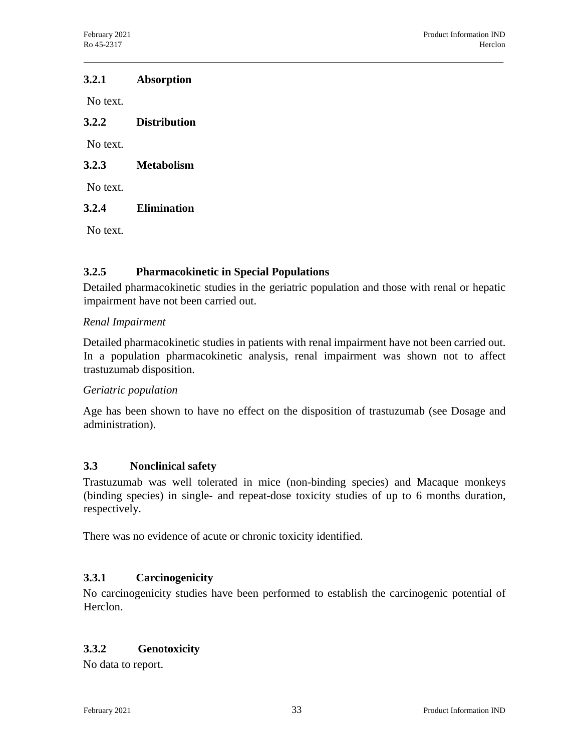#### **3.2.1 Absorption**

No text.

**3.2.2 Distribution**

No text.

**3.2.3 Metabolism**

No text.

# **3.2.4 Elimination**

No text.

# **3.2.5 Pharmacokinetic in Special Populations**

Detailed pharmacokinetic studies in the geriatric population and those with renal or hepatic impairment have not been carried out.

#### *Renal Impairment*

Detailed pharmacokinetic studies in patients with renal impairment have not been carried out. In a population pharmacokinetic analysis, renal impairment was shown not to affect trastuzumab disposition.

# *Geriatric population*

Age has been shown to have no effect on the disposition of trastuzumab (see Dosage and administration).

# **3.3 Nonclinical safety**

Trastuzumab was well tolerated in mice (non-binding species) and Macaque monkeys (binding species) in single- and repeat-dose toxicity studies of up to 6 months duration, respectively.

There was no evidence of acute or chronic toxicity identified.

# **3.3.1 Carcinogenicity**

No carcinogenicity studies have been performed to establish the carcinogenic potential of Herclon.

# **3.3.2 Genotoxicity**

No data to report.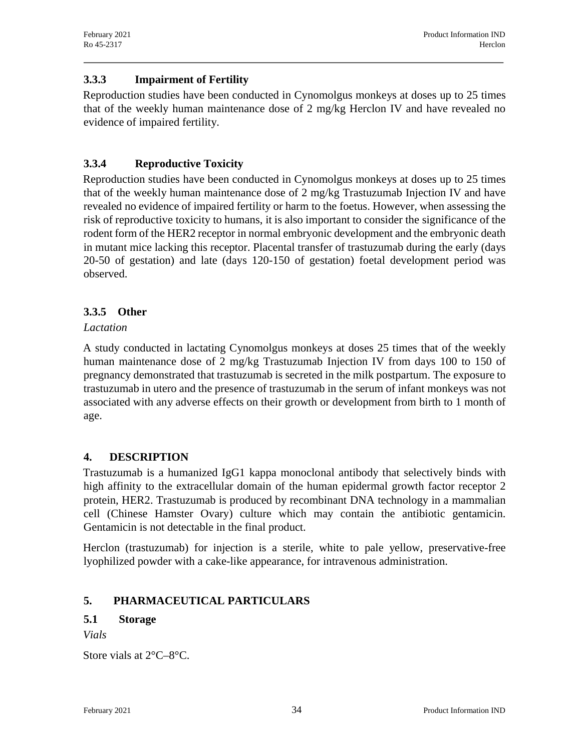# **3.3.3 Impairment of Fertility**

Reproduction studies have been conducted in Cynomolgus monkeys at doses up to 25 times that of the weekly human maintenance dose of 2 mg/kg Herclon IV and have revealed no evidence of impaired fertility.

# **3.3.4 Reproductive Toxicity**

Reproduction studies have been conducted in Cynomolgus monkeys at doses up to 25 times that of the weekly human maintenance dose of 2 mg/kg Trastuzumab Injection IV and have revealed no evidence of impaired fertility or harm to the foetus. However, when assessing the risk of reproductive toxicity to humans, it is also important to consider the significance of the rodent form of the HER2 receptor in normal embryonic development and the embryonic death in mutant mice lacking this receptor. Placental transfer of trastuzumab during the early (days 20-50 of gestation) and late (days 120-150 of gestation) foetal development period was observed.

# **3.3.5 Other**

#### *Lactation*

A study conducted in lactating Cynomolgus monkeys at doses 25 times that of the weekly human maintenance dose of 2 mg/kg Trastuzumab Injection IV from days 100 to 150 of pregnancy demonstrated that trastuzumab is secreted in the milk postpartum. The exposure to trastuzumab in utero and the presence of trastuzumab in the serum of infant monkeys was not associated with any adverse effects on their growth or development from birth to 1 month of age.

# **4. DESCRIPTION**

Trastuzumab is a humanized IgG1 kappa monoclonal antibody that selectively binds with high affinity to the extracellular domain of the human epidermal growth factor receptor 2 protein, HER2. Trastuzumab is produced by recombinant DNA technology in a mammalian cell (Chinese Hamster Ovary) culture which may contain the antibiotic gentamicin. Gentamicin is not detectable in the final product.

Herclon (trastuzumab) for injection is a sterile, white to pale yellow, preservative-free lyophilized powder with a cake-like appearance, for intravenous administration.

# **5. PHARMACEUTICAL PARTICULARS**

#### **5.1 Storage**

*Vials*

Store vials at 2°C–8°C.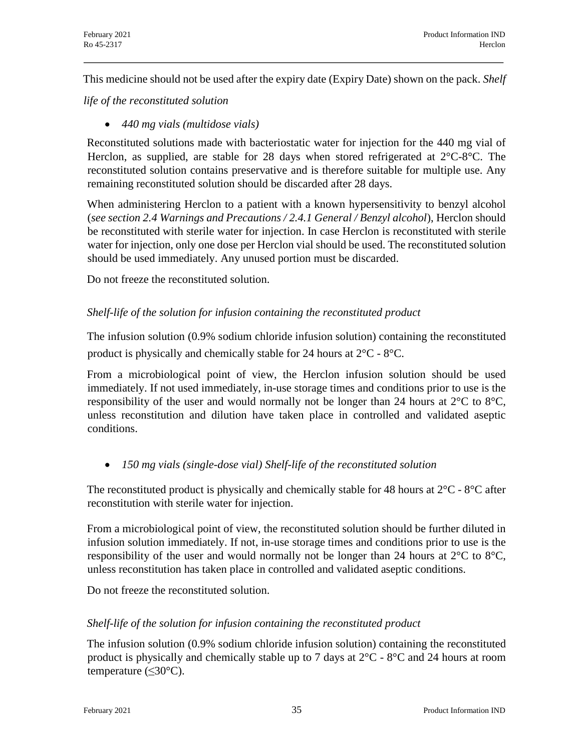This medicine should not be used after the expiry date (Expiry Date) shown on the pack. *Shelf*

*life of the reconstituted solution*

· *440 mg vials (multidose vials)*

Reconstituted solutions made with bacteriostatic water for injection for the 440 mg vial of Herclon, as supplied, are stable for 28 days when stored refrigerated at  $2^{\circ}$ C-8<sup>°</sup>C. The reconstituted solution contains preservative and is therefore suitable for multiple use. Any remaining reconstituted solution should be discarded after 28 days.

When administering Herclon to a patient with a known hypersensitivity to benzyl alcohol (*see section 2.4 Warnings and Precautions / 2.4.1 General / Benzyl alcohol*), Herclon should be reconstituted with sterile water for injection. In case Herclon is reconstituted with sterile water for injection, only one dose per Herclon vial should be used. The reconstituted solution should be used immediately. Any unused portion must be discarded.

Do not freeze the reconstituted solution.

# *Shelf-life of the solution for infusion containing the reconstituted product*

The infusion solution (0.9% sodium chloride infusion solution) containing the reconstituted product is physically and chemically stable for 24 hours at 2°C - 8°C.

From a microbiological point of view, the Herclon infusion solution should be used immediately. If not used immediately, in-use storage times and conditions prior to use is the responsibility of the user and would normally not be longer than 24 hours at  $2^{\circ}$ C to  $8^{\circ}$ C, unless reconstitution and dilution have taken place in controlled and validated aseptic conditions.

· *150 mg vials (single-dose vial) Shelf-life of the reconstituted solution*

The reconstituted product is physically and chemically stable for 48 hours at  $2^{\circ}$ C -  $8^{\circ}$ C after reconstitution with sterile water for injection.

From a microbiological point of view, the reconstituted solution should be further diluted in infusion solution immediately. If not, in-use storage times and conditions prior to use is the responsibility of the user and would normally not be longer than 24 hours at  $2^{\circ}C$  to  $8^{\circ}C$ , unless reconstitution has taken place in controlled and validated aseptic conditions.

Do not freeze the reconstituted solution.

# *Shelf-life of the solution for infusion containing the reconstituted product*

The infusion solution (0.9% sodium chloride infusion solution) containing the reconstituted product is physically and chemically stable up to 7 days at  $2^{\circ}C$  -  $8^{\circ}C$  and 24 hours at room temperature  $(\leq 30^{\circ}C)$ .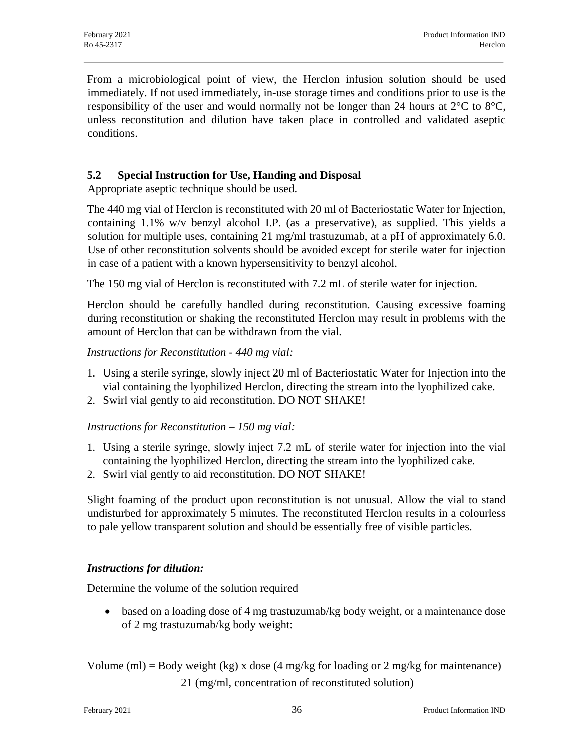From a microbiological point of view, the Herclon infusion solution should be used immediately. If not used immediately, in-use storage times and conditions prior to use is the responsibility of the user and would normally not be longer than 24 hours at  $2^{\circ}C$  to  $8^{\circ}C$ , unless reconstitution and dilution have taken place in controlled and validated aseptic conditions.

# **5.2 Special Instruction for Use, Handing and Disposal**

Appropriate aseptic technique should be used.

The 440 mg vial of Herclon is reconstituted with 20 ml of Bacteriostatic Water for Injection, containing 1.1% w/v benzyl alcohol I.P. (as a preservative), as supplied. This yields a solution for multiple uses, containing 21 mg/ml trastuzumab, at a pH of approximately 6.0. Use of other reconstitution solvents should be avoided except for sterile water for injection in case of a patient with a known hypersensitivity to benzyl alcohol.

The 150 mg vial of Herclon is reconstituted with 7.2 mL of sterile water for injection.

Herclon should be carefully handled during reconstitution. Causing excessive foaming during reconstitution or shaking the reconstituted Herclon may result in problems with the amount of Herclon that can be withdrawn from the vial.

*Instructions for Reconstitution - 440 mg vial:*

- 1. Using a sterile syringe, slowly inject 20 ml of Bacteriostatic Water for Injection into the vial containing the lyophilized Herclon, directing the stream into the lyophilized cake.
- 2. Swirl vial gently to aid reconstitution. DO NOT SHAKE!

*Instructions for Reconstitution – 150 mg vial:*

- 1. Using a sterile syringe, slowly inject 7.2 mL of sterile water for injection into the vial containing the lyophilized Herclon, directing the stream into the lyophilized cake.
- 2. Swirl vial gently to aid reconstitution. DO NOT SHAKE!

Slight foaming of the product upon reconstitution is not unusual. Allow the vial to stand undisturbed for approximately 5 minutes. The reconstituted Herclon results in a colourless to pale yellow transparent solution and should be essentially free of visible particles.

#### *Instructions for dilution:*

Determine the volume of the solution required

• based on a loading dose of 4 mg trastuzumab/kg body weight, or a maintenance dose of 2 mg trastuzumab/kg body weight:

Volume (ml) = <u>Body weight (kg) x dose (4 mg/kg for loading or 2 mg/kg for maintenance)</u> 21 (mg/ml, concentration of reconstituted solution)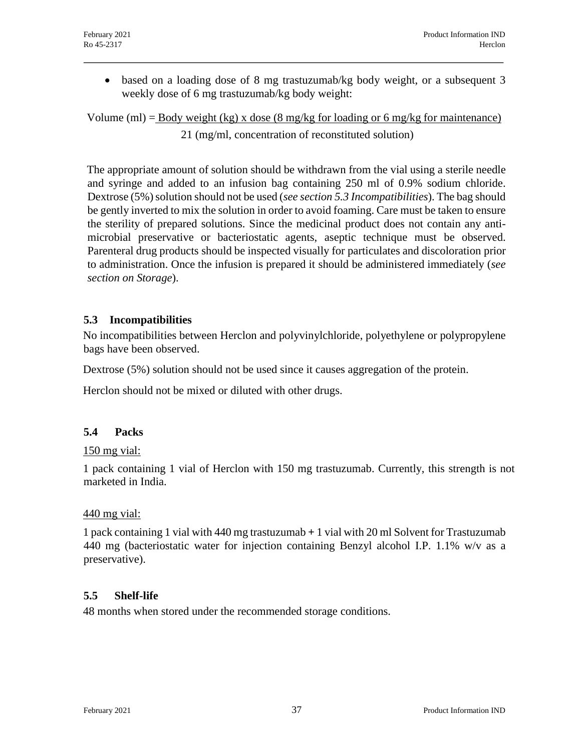• based on a loading dose of 8 mg trastuzumab/kg body weight, or a subsequent 3 weekly dose of 6 mg trastuzumab/kg body weight:

Volume (ml) = <u>Body weight (kg) x dose (8 mg/kg for loading or 6 mg/kg for maintenance)</u> 21 (mg/ml, concentration of reconstituted solution)

The appropriate amount of solution should be withdrawn from the vial using a sterile needle and syringe and added to an infusion bag containing 250 ml of 0.9% sodium chloride. Dextrose (5%) solution should not be used (*see section 5.3 Incompatibilities*). The bag should be gently inverted to mix the solution in order to avoid foaming. Care must be taken to ensure the sterility of prepared solutions. Since the medicinal product does not contain any antimicrobial preservative or bacteriostatic agents, aseptic technique must be observed. Parenteral drug products should be inspected visually for particulates and discoloration prior to administration. Once the infusion is prepared it should be administered immediately (*see section on Storage*).

# **5.3 Incompatibilities**

No incompatibilities between Herclon and polyvinylchloride, polyethylene or polypropylene bags have been observed.

Dextrose (5%) solution should not be used since it causes aggregation of the protein.

Herclon should not be mixed or diluted with other drugs.

# **5.4 Packs**

#### 150 mg vial:

1 pack containing 1 vial of Herclon with 150 mg trastuzumab. Currently, this strength is not marketed in India.

#### 440 mg vial:

1 pack containing 1 vial with 440 mg trastuzumab **+** 1 vial with 20 ml Solvent for Trastuzumab 440 mg (bacteriostatic water for injection containing Benzyl alcohol I.P. 1.1% w/v as a preservative).

#### **5.5 Shelf-life**

48 months when stored under the recommended storage conditions.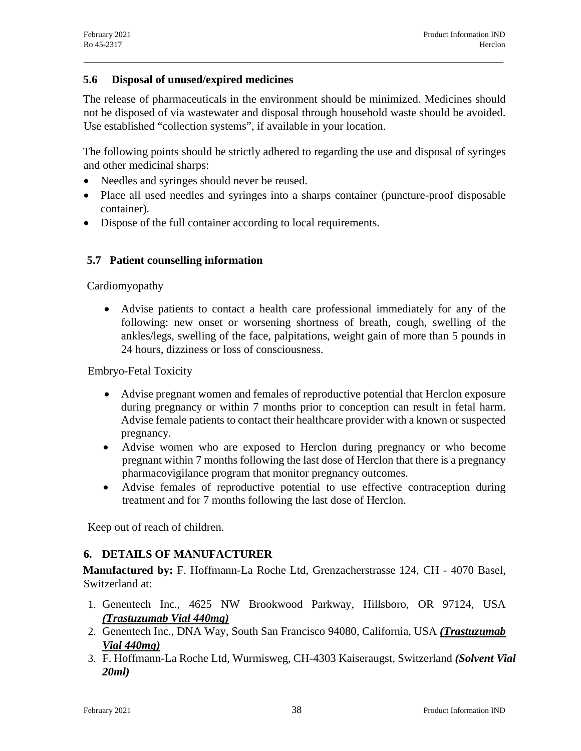# **5.6 Disposal of unused/expired medicines**

The release of pharmaceuticals in the environment should be minimized. Medicines should not be disposed of via wastewater and disposal through household waste should be avoided. Use established "collection systems", if available in your location.

The following points should be strictly adhered to regarding the use and disposal of syringes and other medicinal sharps:

- Needles and syringes should never be reused.
- · Place all used needles and syringes into a sharps container (puncture-proof disposable container).
- Dispose of the full container according to local requirements.

#### **5.7 Patient counselling information**

Cardiomyopathy

· Advise patients to contact a health care professional immediately for any of the following: new onset or worsening shortness of breath, cough, swelling of the ankles/legs, swelling of the face, palpitations, weight gain of more than 5 pounds in 24 hours, dizziness or loss of consciousness.

Embryo-Fetal Toxicity

- · Advise pregnant women and females of reproductive potential that Herclon exposure during pregnancy or within 7 months prior to conception can result in fetal harm. Advise female patients to contact their healthcare provider with a known or suspected pregnancy.
- · Advise women who are exposed to Herclon during pregnancy or who become pregnant within 7 months following the last dose of Herclon that there is a pregnancy pharmacovigilance program that monitor pregnancy outcomes.
- · Advise females of reproductive potential to use effective contraception during treatment and for 7 months following the last dose of Herclon.

Keep out of reach of children.

# **6. DETAILS OF MANUFACTURER**

**Manufactured by:** F. Hoffmann-La Roche Ltd, Grenzacherstrasse 124, CH - 4070 Basel, Switzerland at:

- 1. Genentech Inc., 4625 NW Brookwood Parkway, Hillsboro, OR 97124, USA *(Trastuzumab Vial 440mg)*
- 2. Genentech Inc., DNA Way, South San Francisco 94080, California, USA *(Trastuzumab Vial 440mg)*
- 3. F. Hoffmann-La Roche Ltd, Wurmisweg, CH-4303 Kaiseraugst, Switzerland *(Solvent Vial 20ml)*